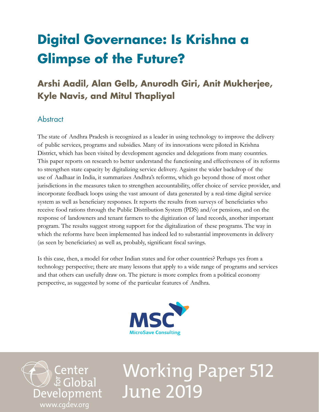## **Digital Governance: Is Krishna a Glimpse of the Future?**

## **Arshi Aadil, Alan Gelb, Anurodh Giri, Anit Mukherjee, Kyle Navis, and Mitul Thapliyal**

## Abstract

The state of Andhra Pradesh is recognized as a leader in using technology to improve the delivery of public services, programs and subsidies. Many of its innovations were piloted in Krishna District, which has been visited by development agencies and delegations from many countries. This paper reports on research to better understand the functioning and effectiveness of its reforms to strengthen state capacity by digitalizing service delivery. Against the wider backdrop of the use of Aadhaar in India, it summarizes Andhra's reforms, which go beyond those of most other jurisdictions in the measures taken to strengthen accountability, offer choice of service provider, and incorporate feedback loops using the vast amount of data generated by a real-time digital service system as well as beneficiary responses. It reports the results from surveys of beneficiaries who receive food rations through the Public Distribution System (PDS) and/or pensions, and on the response of landowners and tenant farmers to the digitization of land records, another important program. The results suggest strong support for the digitalization of these programs. The way in which the reforms have been implemented has indeed led to substantial improvements in delivery (as seen by beneficiaries) as well as, probably, significant fiscal savings.

Is this case, then, a model for other Indian states and for other countries? Perhaps yes from a technology perspective; there are many lessons that apply to a wide range of programs and services and that others can usefully draw on. The picture is more complex from a political economy perspective, as suggested by some of the particular features of Andhra.



→ Center<br>⊅ ē Global Development [www.cgdev.org](http://www.cgdev.org)

# Working Paper 512 June 2019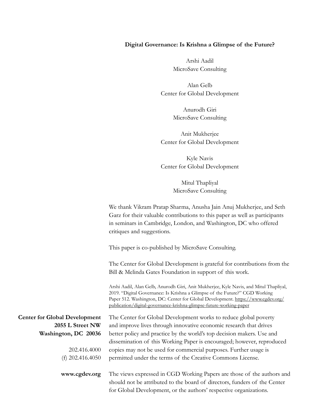#### **Digital Governance: Is Krishna a Glimpse of the Future?**

Arshi Aadil MicroSave Consulting

Alan Gelb Center for Global Development

> Anurodh Giri MicroSave Consulting

Anit Mukherjee Center for Global Development

Kyle Navis Center for Global Development

> Mitul Thapliyal MicroSave Consulting

We thank Vikram Pratap Sharma, Anusha Jain Anuj Mukherjee, and Seth Garz for their valuable contributions to this paper as well as participants in seminars in Cambridge, London, and Washington, DC who offered critiques and suggestions.

This paper is co-published by MicroSave Consulting.

The Center for Global Development is grateful for contributions from the Bill & Melinda Gates Foundation in support of this work.

Arshi Aadil, Alan Gelb, Anurodh Giri, Anit Mukherjee, Kyle Navis, and Mitul Thapliyal, 2019. "Digital Governance: Is Krishna a Glimpse of the Future?" CGD Working Paper 512. Washington, DC: Center for Global Development. [https://www.cgdev.org/](https://www.cgdev.org/publication/digital-governance-krishna-glimpse-future-working-paper) [publication/digital-governance-krishna-glimpse-future-working-paper](https://www.cgdev.org/publication/digital-governance-krishna-glimpse-future-working-paper)

The Center for Global Development works to reduce global poverty and improve lives through innovative economic research that drives

**Center for Global Development 2055 L Street NW Washington, DC 20036**

> 202.416.4000 (f) 202.416.4050

**www.cgdev.org**

better policy and practice by the world's top decision makers. Use and dissemination of this Working Paper is encouraged; however, reproduced copies may not be used for commercial purposes. Further usage is permitted under the terms of the Creative Commons License.

The views expressed in CGD Working Papers are those of the authors and should not be attributed to the board of directors, funders of the Center for Global Development, or the authors' respective organizations.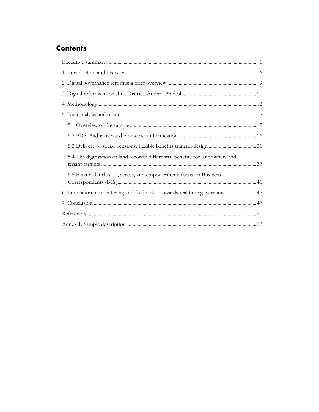## **Contents**

| 5.4 The digitization of land records: differential benefits for landowners and |  |
|--------------------------------------------------------------------------------|--|
| 5.5 Financial inclusion, access, and empowerment: focus on Business            |  |
| 6. Innovation in monitoring and feedback—towards real time governance 45       |  |
|                                                                                |  |
|                                                                                |  |
|                                                                                |  |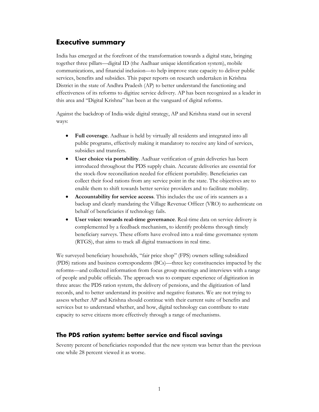## <span id="page-3-0"></span>**Executive summary**

India has emerged at the forefront of the transformation towards a digital state, bringing together three pillars—digital ID (the Aadhaar unique identification system), mobile communications, and financial inclusion—to help improve state capacity to deliver public services, benefits and subsidies. This paper reports on research undertaken in Krishna District in the state of Andhra Pradesh (AP) to better understand the functioning and effectiveness of its reforms to digitize service delivery. AP has been recognized as a leader in this area and "Digital Krishna" has been at the vanguard of digital reforms.

Against the backdrop of India-wide digital strategy, AP and Krishna stand out in several ways:

- **Full coverage**. Aadhaar is held by virtually all residents and integrated into all public programs, effectively making it mandatory to receive any kind of services, subsidies and transfers.
- **User choice via portability**. Aadhaar verification of grain deliveries has been introduced throughout the PDS supply chain. Accurate deliveries are essential for the stock-flow reconciliation needed for efficient portability. Beneficiaries can collect their food rations from any service point in the state. The objectives are to enable them to shift towards better service providers and to facilitate mobility.
- **Accountability for service access**. This includes the use of iris scanners as a backup and clearly mandating the Village Revenue Officer (VRO) to authenticate on behalf of beneficiaries if technology fails.
- **User voice: towards real-time governance**. Real-time data on service delivery is complemented by a feedback mechanism, to identify problems through timely beneficiary surveys. These efforts have evolved into a real-time governance system (RTGS), that aims to track all digital transactions in real time.

We surveyed beneficiary households, "fair price shop" (FPS) owners selling subsidized (PDS) rations and business correspondents (BCs)—three key constituencies impacted by the reforms—and collected information from focus group meetings and interviews with a range of people and public officials. The approach was to compare experience of digitization in three areas: the PDS ration system, the delivery of pensions, and the digitization of land records, and to better understand its positive and negative features. We are not trying to assess whether AP and Krishna should continue with their current suite of benefits and services but to understand whether, and how, digital technology can contribute to state capacity to serve citizens more effectively through a range of mechanisms.

#### **The PDS ration system: better service and fiscal savings**

Seventy percent of beneficiaries responded that the new system was better than the previous one while 28 percent viewed it as worse.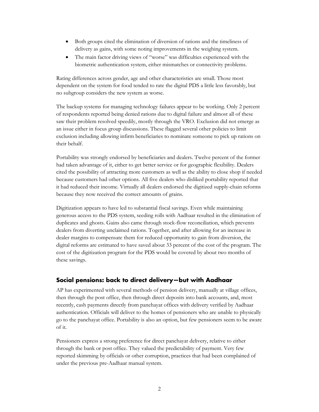- Both groups cited the elimination of diversion of rations and the timeliness of delivery as gains, with some noting improvements in the weighing system.
- The main factor driving views of "worse" was difficulties experienced with the biometric authentication system, either mismatches or connectivity problems.

Rating differences across gender, age and other characteristics are small. Those most dependent on the system for food tended to rate the digital PDS a little less favorably, but no subgroup considers the new system as worse.

The backup systems for managing technology failures appear to be working. Only 2 percent of respondents reported being denied rations due to digital failure and almost all of these saw their problem resolved speedily, mostly through the VRO. Exclusion did not emerge as an issue either in focus group discussions. These flagged several other policies to limit exclusion including allowing infirm beneficiaries to nominate someone to pick up rations on their behalf.

Portability was strongly endorsed by beneficiaries and dealers. Twelve percent of the former had taken advantage of it, either to get better service or for geographic flexibility. Dealers cited the possibility of attracting more customers as well as the ability to close shop if needed because customers had other options. All five dealers who disliked portability reported that it had reduced their income. Virtually all dealers endorsed the digitized supply-chain reforms because they now received the correct amounts of grains.

Digitization appears to have led to substantial fiscal savings. Even while maintaining generous access to the PDS system, seeding rolls with Aadhaar resulted in the elimination of duplicates and ghosts. Gains also came through stock-flow reconciliation, which prevents dealers from diverting unclaimed rations. Together, and after allowing for an increase in dealer margins to compensate them for reduced opportunity to gain from diversion, the digital reforms are estimated to have saved about 33 percent of the cost of the program. The cost of the digitization program for the PDS would be covered by about two months of these savings.

#### **Social pensions: back to direct delivery—but with Aadhaar**

AP has experimented with several methods of pension delivery, manually at village offices, then through the post office, then through direct deposits into bank accounts, and, most recently, cash payments directly from panchayat offices with delivery verified by Aadhaar authentication. Officials will deliver to the homes of pensioners who are unable to physically go to the panchayat office. Portability is also an option, but few pensioners seem to be aware of it.

Pensioners express a strong preference for direct panchayat delivery, relative to either through the bank or post office. They valued the predictability of payment. Very few reported skimming by officials or other corruption, practices that had been complained of under the previous pre-Aadhaar manual system.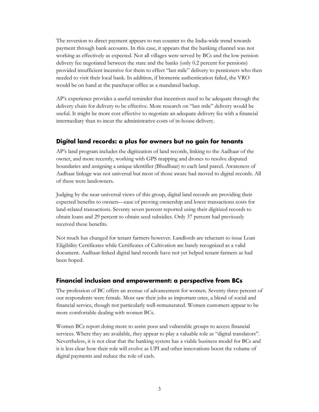The reversion to direct payment appears to run counter to the India-wide trend towards payment through bank accounts. In this case, it appears that the banking channel was not working as effectively as expected. Not all villages were served by BCs and the low pension delivery fee negotiated between the state and the banks (only 0.2 percent for pensions) provided insufficient incentive for them to effect "last mile" delivery to pensioners who then needed to visit their local bank. In addition, if biometric authentication failed, the VRO would be on hand at the panchayat office as a mandated backup.

AP's experience provides a useful reminder that incentives need to be adequate through the delivery chain for delivery to be effective. More research on "last mile" delivery would be useful. It might be more cost effective to negotiate an adequate delivery fee with a financial intermediary than to incur the administrative costs of in-house delivery.

#### **Digital land records: a plus for owners but no gain for tenants**

AP's land program includes the digitization of land records, linking to the Aadhaar of the owner, and more recently, working with GPS mapping and drones to resolve disputed boundaries and assigning a unique identifier (Bhudhaar) to each land parcel. Awareness of Aadhaar linkage was not universal but most of those aware had moved to digital records. All of these were landowners.

Judging by the near-universal views of this group, digital land records are providing their expected benefits to owners—ease of proving ownership and lower transactions costs for land-related transactions. Seventy seven percent reported using their digitized records to obtain loans and 29 percent to obtain seed subsidies. Only 37 percent had previously received these benefits.

Not much has changed for tenant farmers however. Landlords are reluctant to issue Loan Eligibility Certificates while Certificates of Cultivation are barely recognized as a valid document. Aadhaar-linked digital land records have not yet helped tenant farmers as had been hoped.

#### **Financial inclusion and empowerment: a perspective from BCs**

The profession of BC offers an avenue of advancement for women. Seventy three percent of our respondents were female. Most saw their jobs as important ones, a blend of social and financial service, though not particularly well-remunerated. Women customers appear to be more comfortable dealing with women BCs.

Women BCs report doing more to assist poor and vulnerable groups to access financial services. Where they are available, they appear to play a valuable role as "digital translators". Nevertheless, it is not clear that the banking system has a viable business model for BCs and it is less clear how their role will evolve as UPI and other innovations boost the volume of digital payments and reduce the role of cash.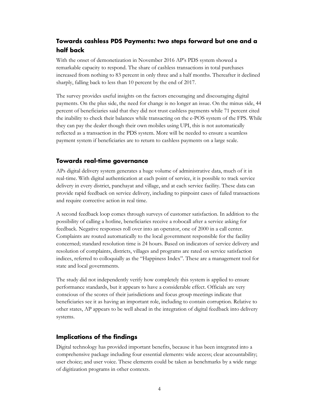## **Towards cashless PDS Payments: two steps forward but one and a half back**

With the onset of demonetization in November 2016 AP's PDS system showed a remarkable capacity to respond. The share of cashless transactions in total purchases increased from nothing to 83 percent in only three and a half months. Thereafter it declined sharply, falling back to less than 10 percent by the end of 2017.

The survey provides useful insights on the factors encouraging and discouraging digital payments. On the plus side, the need for change is no longer an issue. On the minus side, 44 percent of beneficiaries said that they did not trust cashless payments while 71 percent cited the inability to check their balances while transacting on the e-POS system of the FPS. While they can pay the dealer though their own mobiles using UPI, this is not automatically reflected as a transaction in the PDS system. More will be needed to ensure a seamless payment system if beneficiaries are to return to cashless payments on a large scale.

#### **Towards real-time governance**

APs digital delivery system generates a huge volume of administrative data, much of it in real-time. With digital authentication at each point of service, it is possible to track service delivery in every district, panchayat and village, and at each service facility. These data can provide rapid feedback on service delivery, including to pinpoint cases of failed transactions and require corrective action in real time.

A second feedback loop comes through surveys of customer satisfaction. In addition to the possibility of calling a hotline, beneficiaries receive a robocall after a service asking for feedback. Negative responses roll over into an operator, one of 2000 in a call center. Complaints are routed automatically to the local government responsible for the facility concerned; standard resolution time is 24 hours. Based on indicators of service delivery and resolution of complaints, districts, villages and programs are rated on service satisfaction indices, referred to colloquially as the "Happiness Index". These are a management tool for state and local governments.

The study did not independently verify how completely this system is applied to ensure performance standards, but it appears to have a considerable effect. Officials are very conscious of the scores of their jurisdictions and focus group meetings indicate that beneficiaries see it as having an important role, including to contain corruption. Relative to other states, AP appears to be well ahead in the integration of digital feedback into delivery systems.

#### **Implications of the findings**

Digital technology has provided important benefits, because it has been integrated into a comprehensive package including four essential elements: wide access; clear accountability; user choice; and user voice. These elements could be taken as benchmarks by a wide range of digitization programs in other contexts.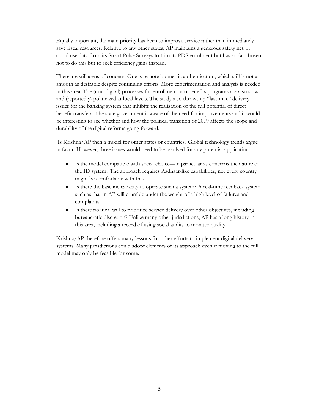Equally important, the main priority has been to improve service rather than immediately save fiscal resources. Relative to any other states, AP maintains a generous safety net. It could use data from its Smart Pulse Surveys to trim its PDS enrolment but has so far chosen not to do this but to seek efficiency gains instead.

There are still areas of concern. One is remote biometric authentication, which still is not as smooth as desirable despite continuing efforts. More experimentation and analysis is needed in this area. The (non-digital) processes for enrollment into benefits programs are also slow and (reportedly) politicized at local levels. The study also throws up "last-mile" delivery issues for the banking system that inhibits the realization of the full potential of direct benefit transfers. The state government is aware of the need for improvements and it would be interesting to see whether and how the political transition of 2019 affects the scope and durability of the digital reforms going forward.

Is Krishna/AP then a model for other states or countries? Global technology trends argue in favor. However, three issues would need to be resolved for any potential application:

- Is the model compatible with social choice—in particular as concerns the nature of the ID system? The approach requires Aadhaar-like capabilities; not every country might be comfortable with this.
- Is there the baseline capacity to operate such a system? A real-time feedback system such as that in AP will crumble under the weight of a high level of failures and complaints.
- Is there political will to prioritize service delivery over other objectives, including bureaucratic discretion? Unlike many other jurisdictions, AP has a long history in this area, including a record of using social audits to monitor quality.

Krishna/AP therefore offers many lessons for other efforts to implement digital delivery systems. Many jurisdictions could adopt elements of its approach even if moving to the full model may only be feasible for some.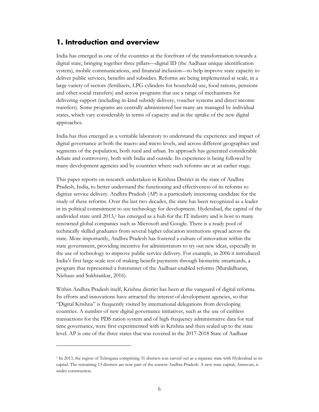## <span id="page-8-0"></span>**1. Introduction and overview**

India has emerged as one of the countries at the forefront of the transformation towards a digital state, bringing together three pillars—digital ID (the Aadhaar unique identification system), mobile communications, and financial inclusion—to help improve state capacity to deliver public services, benefits and subsidies. Reforms are being implemented at scale, in a large variety of sectors (fertilizers, LPG cylinders for household use, food rations, pensions and other social transfers) and across programs that use a range of mechanisms for delivering support (including in-kind subsidy delivery, voucher systems and direct income transfers). Some programs are centrally administered but many are managed by individual states, which vary considerably in terms of capacity and in the uptake of the new digital approaches.

India has thus emerged as a veritable laboratory to understand the experience and impact of digital governance at both the macro and micro levels, and across different geographies and segments of the population, both rural and urban. Its approach has generated considerable debate and controversy, both with India and outside. Its experience is being followed by many development agencies and by countries where such reforms are at an earlier stage.

This paper reports on research undertaken in Krishna District in the state of Andhra Pradesh, India, to better understand the functioning and effectiveness of its reforms to digitize service delivery. Andhra Pradesh (AP) is a particularly interesting candidate for the study of these reforms. Over the last two decades, the state has been recognized as a leader in its political commitment to use technology for development. Hyderabad, the capital of the undivided state until  $2013$  $2013$  $2013$ ,<sup>1</sup> has emerged as a hub for the IT industry and is host to many renowned global companies such as Microsoft and Google. There is a ready pool of technically skilled graduates from several higher education institutions spread across the state. More importantly, Andhra Pradesh has fostered a culture of innovation within the state government, providing incentive for administrators to try out new ideas, especially in the use of technology to improve public service delivery. For example, in 2006 it introduced India's first large-scale test of making benefit payments through biometric smartcards, a program that represented a forerunner of the Aadhaar-enabled reforms (Muralidharan, Niehaus and Sukhtankar, 2016).

Within Andhra Pradesh itself, Krishna district has been at the vanguard of digital reforms. Its efforts and innovations have attracted the interest of development agencies, so that "Digital Krishna" is frequently visited by international delegations from developing countries. A number of new digital governance initiatives, such as the use of cashless transactions for the PDS ration system and of high-frequency administrative data for real time governance, were first experimented with in Krishna and then scaled up to the state level. AP is one of the three states that was covered in the 2017-2018 State of Aadhaar

<span id="page-8-1"></span><sup>&</sup>lt;sup>1</sup> In 2013, the region of Telengana comprising 31 districts was carved out as a separate state with Hyderabad as its capital. The remaining 13 districts are now part of the current Andhra Pradesh. A new state capital, Amravati, is under construction.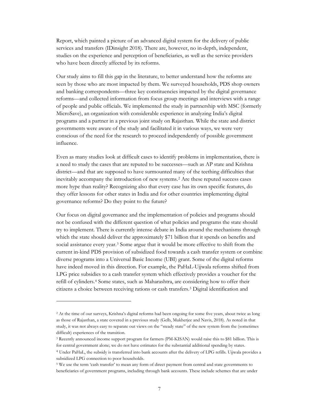Report, which painted a picture of an advanced digital system for the delivery of public services and transfers (IDinsight 2018). There are, however, no in-depth, independent, studies on the experience and perception of beneficiaries, as well as the service providers who have been directly affected by its reforms.

Our study aims to fill this gap in the literature, to better understand how the reforms are seen by those who are most impacted by them. We surveyed households, PDS shop owners and banking correspondents—three key constituencies impacted by the digital governance reforms—and collected information from focus group meetings and interviews with a range of people and public officials. We implemented the study in partnership with MSC (formerly MicroSave), an organization with considerable experience in analyzing India's digital programs and a partner in a previous joint study on Rajasthan. While the state and district governments were aware of the study and facilitated it in various ways, we were very conscious of the need for the research to proceed independently of possible government influence.

Even as many studies look at difficult cases to identify problems in implementation, there is a need to study the cases that are reputed to be successes—such as AP state and Krishna district—and that are supposed to have surmounted many of the teething difficulties that inevitably accompany the introduction of new systems.[2](#page-9-0) Are these reputed success cases more hype than reality? Recognizing also that every case has its own specific features, do they offer lessons for other states in India and for other countries implementing digital governance reforms? Do they point to the future?

Our focus on digital governance and the implementation of policies and programs should not be confused with the different question of what policies and programs the state should try to implement. There is currently intense debate in India around the mechanisms through which the state should deliver the approximately \$71 billion that it spends on benefits and social assistance every year.[3](#page-9-1) Some argue that it would be more effective to shift from the current in-kind PDS provision of subsidized food towards a cash transfer system or combine diverse programs into a Universal Basic Income (UBI) grant. Some of the digital reforms have indeed moved in this direction. For example, the PaHaL-Ujjwala reforms shifted from LPG price subsidies to a cash transfer system which effectively provides a voucher for the refill of cylinders.[4](#page-9-2) Some states, such as Maharashtra, are considering how to offer their citizens a choice between receiving rations or cash transfers.[5](#page-9-3) Digital identification and

<span id="page-9-0"></span><sup>2</sup> At the time of our surveys, Krishna's digital reforms had been ongoing for some five years, about twice as long as those of Rajasthan, a state covered in a previous study (Gelb, Mukherjee and Navis, 2018). As noted in that study, it was not always easy to separate out views on the "steady state" of the new system from the (sometimes difficult) experiences of the transition.

<span id="page-9-1"></span><sup>3</sup> Recently announced income support program for farmers (PM-KISAN) would raise this to \$81 billion. This is for central government alone; we do not have estimates for the substantial additional spending by states.

<span id="page-9-2"></span><sup>4</sup> Under PaHaL, the subsidy is transferred into bank accounts after the delivery of LPG refills. Ujjwala provides a subsidized LPG connection to poor households.

<span id="page-9-3"></span><sup>5</sup> We use the term 'cash transfer' to mean any form of direct payment from central and state governments to beneficiaries of government programs, including through bank accounts. These include schemes that are under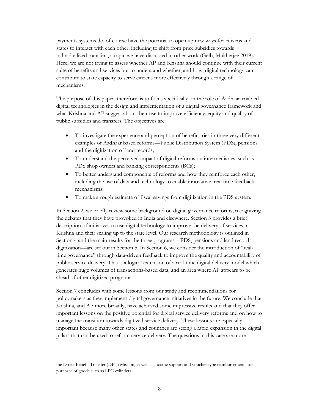payments systems do, of course have the potential to open up new ways for citizens and states to interact with each other, including to shift from price subsidies towards individualized transfers, a topic we have discussed in other work (Gelb, Mukherjee 2019). Here, we are not trying to assess whether AP and Krishna should continue with their current suite of benefits and services but to understand whether, and how, digital technology can contribute to state capacity to serve citizens more effectively through a range of mechanisms.

The purpose of this paper, therefore, is to focus specifically on the role of Aadhaar-enabled digital technologies in the design and implementation of a digital governance framework and what Krishna and AP suggest about their use to improve efficiency, equity and quality of public subsidies and transfers. The objectives are:

- To investigate the experience and perception of beneficiaries in three very different examples of Aadhaar based reforms—Public Distribution System (PDS), pensions and the digitization of land records;
- To understand the perceived impact of digital reforms on intermediaries, such as PDS shop owners and banking correspondents (BCs);
- To better understand components of reforms and how they reinforce each other, including the use of data and technology to enable innovative, real time feedback mechanisms;
- To make a rough estimate of fiscal savings from digitization in the PDS system.

In Section 2, we briefly review some background on digital governance reforms, recognizing the debates that they have provoked in India and elsewhere. Section 3 provides a brief description of initiatives to use digital technology to improve the delivery of services in Krishna and their scaling up to the state level. Our research methodology is outlined in Section 4 and the main results for the three programs—PDS, pensions and land record digitization—are set out in Section 5. In Section 6, we consider the introduction of "realtime governance" through data-driven feedback to improve the quality and accountability of public service delivery. This is a logical extension of a real-time digital delivery model which generates huge volumes of transactions-based data, and an area where AP appears to be ahead of other digitized programs.

Section 7 concludes with some lessons from our study and recommendations for policymakers as they implement digital governance initiatives in the future. We conclude that Krishna, and AP more broadly, have achieved some impressive results and that they offer important lessons on the positive potential for digital service delivery reforms and on how to manage the transition towards digitized service delivery. These lessons are especially important because many other states and countries are seeing a rapid expansion in the digital pillars that can be used to reform service delivery. The questions in this case are more

the Direct Benefit Transfer (DBT) Mission, as well as income support and voucher-type reimbursements for purchase of goods such as LPG cylinders.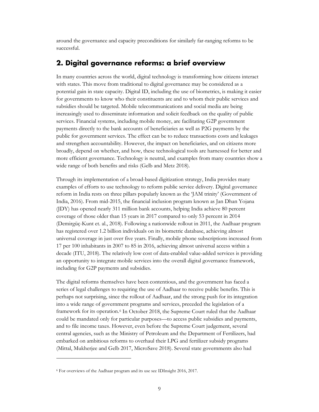around the governance and capacity preconditions for similarly far-ranging reforms to be successful.

## <span id="page-11-0"></span>**2. Digital governance reforms: a brief overview**

In many countries across the world, digital technology is transforming how citizens interact with states. This move from traditional to digital governance may be considered as a potential gain in state capacity. Digital ID, including the use of biometrics, is making it easier for governments to know who their constituents are and to whom their public services and subsidies should be targeted. Mobile telecommunications and social media are being increasingly used to disseminate information and solicit feedback on the quality of public services. Financial systems, including mobile money, are facilitating G2P government payments directly to the bank accounts of beneficiaries as well as P2G payments by the public for government services. The effect can be to reduce transactions costs and leakages and strengthen accountability. However, the impact on beneficiaries, and on citizens more broadly, depend on whether, and how, these technological tools are harnessed for better and more efficient governance. Technology is neutral, and examples from many countries show a wide range of both benefits and risks (Gelb and Metz 2018).

Through its implementation of a broad-based digitization strategy, India provides many examples of efforts to use technology to reform public service delivery. Digital governance reform in India rests on three pillars popularly known as the 'JAM trinity' (Government of India, 2016). From mid-2015, the financial inclusion program known as Jan Dhan Yojana (JDY) has opened nearly 311 million bank accounts, helping India achieve 80 percent coverage of those older than 15 years in 2017 compared to only 53 percent in 2014 (Demirgüç-Kunt et. al., 2018). Following a nationwide rollout in 2011, the Aadhaar program has registered over 1.2 billion individuals on its biometric database, achieving almost universal coverage in just over five years. Finally, mobile phone subscriptions increased from 17 per 100 inhabitants in 2007 to 85 in 2016, achieving almost universal access within a decade (ITU, 2018). The relatively low cost of data-enabled value-added services is providing an opportunity to integrate mobile services into the overall digital governance framework, including for G2P payments and subsidies.

The digital reforms themselves have been contentious, and the government has faced a series of legal challenges to requiring the use of Aadhaar to receive public benefits. This is perhaps not surprising, since the rollout of Aadhaar, and the strong push for its integration into a wide range of government programs and services, preceded the legislation of a framework for its operation.<sup>[6](#page-11-1)</sup> In October 2018, the Supreme Court ruled that the Aadhaar could be mandated only for particular purposes—to access public subsidies and payments, and to file income taxes. However, even before the Supreme Court judgement, several central agencies, such as the Ministry of Petroleum and the Department of Fertilizers, had embarked on ambitious reforms to overhaul their LPG and fertilizer subsidy programs (Mittal, Mukherjee and Gelb 2017, MicroSave 2018). Several state governments also had

<span id="page-11-1"></span><sup>6</sup> For overviews of the Aadhaar program and its use see IDInsight 2016, 2017.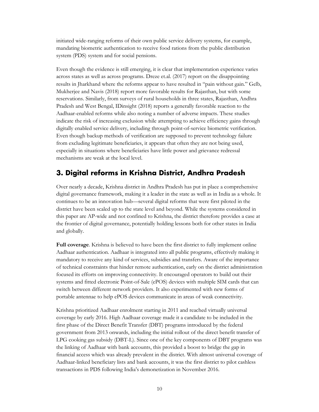initiated wide-ranging reforms of their own public service delivery systems, for example, mandating biometric authentication to receive food rations from the public distribution system (PDS) system and for social pensions.

Even though the evidence is still emerging, it is clear that implementation experience varies across states as well as across programs. Dreze et.al. (2017) report on the disappointing results in Jharkhand where the reforms appear to have resulted in "pain without gain." Gelb, Mukherjee and Navis (2018) report more favorable results for Rajasthan, but with some reservations. Similarly, from surveys of rural households in three states, Rajasthan, Andhra Pradesh and West Bengal, IDinsight (2018) reports a generally favorable reaction to the Aadhaar-enabled reforms while also noting a number of adverse impacts. These studies indicate the risk of increasing exclusion while attempting to achieve efficiency gains through digitally enabled service delivery, including through point-of-service biometric verification. Even though backup methods of verification are supposed to prevent technology failure from excluding legitimate beneficiaries, it appears that often they are not being used, especially in situations where beneficiaries have little power and grievance redressal mechanisms are weak at the local level.

## <span id="page-12-0"></span>**3. Digital reforms in Krishna District, Andhra Pradesh**

Over nearly a decade, Krishna district in Andhra Pradesh has put in place a comprehensive digital governance framework, making it a leader in the state as well as in India as a whole. It continues to be an innovation hub—several digital reforms that were first piloted in the district have been scaled up to the state level and beyond. While the systems considered in this paper are AP-wide and not confined to Krishna, the district therefore provides a case at the frontier of digital governance, potentially holding lessons both for other states in India and globally.

**Full coverage**. Krishna is believed to have been the first district to fully implement online Aadhaar authentication. Aadhaar is integrated into all public programs, effectively making it mandatory to receive any kind of services, subsidies and transfers. Aware of the importance of technical constraints that hinder remote authentication, early on the district administration focused its efforts on improving connectivity. It encouraged operators to build out their systems and fitted electronic Point-of-Sale (ePOS) devices with multiple SIM cards that can switch between different network providers. It also experimented with new forms of portable antennae to help ePOS devices communicate in areas of weak connectivity.

Krishna prioritized Aadhaar enrolment starting in 2011 and reached virtually universal coverage by early 2016. High Aadhaar coverage made it a candidate to be included in the first phase of the Direct Benefit Transfer (DBT) programs introduced by the federal government from 2013 onwards, including the initial rollout of the direct benefit transfer of LPG cooking gas subsidy (DBT-L). Since one of the key components of DBT programs was the linking of Aadhaar with bank accounts, this provided a boost to bridge the gap in financial access which was already prevalent in the district. With almost universal coverage of Aadhaar-linked beneficiary lists and bank accounts, it was the first district to pilot cashless transactions in PDS following India's demonetization in November 2016.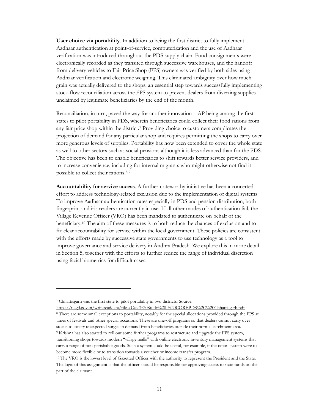**User choice via portability**. In addition to being the first district to fully implement Aadhaar authentication at point-of-service, computerization and the use of Aadhaar verification was introduced throughout the PDS supply chain. Food consignments were electronically recorded as they transited through successive warehouses, and the handoff from delivery vehicles to Fair Price Shop (FPS) owners was verified by both sides using Aadhaar verification and electronic weighing. This eliminated ambiguity over how much grain was actually delivered to the shops, an essential step towards successfully implementing stock-flow reconciliation across the FPS system to prevent dealers from diverting supplies unclaimed by legitimate beneficiaries by the end of the month.

Reconciliation, in turn, paved the way for another innovation—AP being among the first states to pilot portability in PDS, wherein beneficiaries could collect their food rations from any fair price shop within the district.[7](#page-13-0) Providing choice to customers complicates the projection of demand for any particular shop and requires permitting the shops to carry over more generous levels of supplies. Portability has now been extended to cover the whole state as well to other sectors such as social pensions although it is less advanced than for the PDS. The objective has been to enable beneficiaries to shift towards better service providers, and to increase convenience, including for internal migrants who might otherwise not find it possible to collect their rations.[8,](#page-13-1)[9](#page-13-2)

**Accountability for service access**. A further noteworthy initiative has been a concerted effort to address technology-related exclusion due to the implementation of digital systems. To improve Aadhaar authentication rates especially in PDS and pension distribution, both fingerprint and iris readers are currently in use. If all other modes of authentication fail, the Village Revenue Officer (VRO) has been mandated to authenticate on behalf of the beneficiary.[10](#page-13-3) The aim of these measures is to both reduce the chances of exclusion and to fix clear accountability for service within the local government. These policies are consistent with the efforts made by successive state governments to use technology as a tool to improve governance and service delivery in Andhra Pradesh. We explore this in more detail in Section 5, together with the efforts to further reduce the range of individual discretion using facial biometrics for difficult cases.

<sup>7</sup> Chhattisgarh was the first state to pilot portability in two districts. Source:

<span id="page-13-0"></span><https://negd.gov.in/writereaddata/files/Case%20Study%20-%20COREPDS%2C%20Chhattisgarh.pdf>

<span id="page-13-2"></span><span id="page-13-1"></span><sup>8</sup> There are some small exceptions to portability, notably for the special allocations provided through the FPS at times of festivals and other special occasions. These are one-off programs so that dealers cannot carry over stocks to satisfy unexpected surges in demand from beneficiaries outside their normal catchment area. <sup>9</sup> Krishna has also started to roll out some further programs to restructure and upgrade the FPS system, transitioning shops towards modern "village malls" with online electronic inventory management systems that carry a range of non-perishable goods. Such a system could be useful, for example, if the ration system were to become more flexible or to transition towards a voucher or income transfer program.

<span id="page-13-3"></span><sup>&</sup>lt;sup>10</sup> The VRO is the lowest level of Gazetted Officer with the authority to represent the President and the State. The logic of this assignment is that the officer should be responsible for approving access to state funds on the part of the claimant.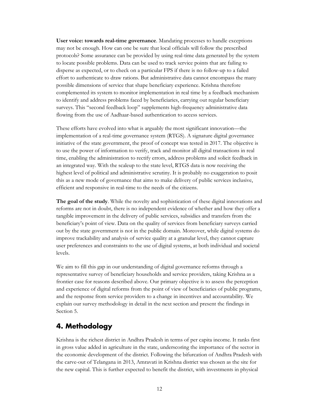**User voice: towards real-time governance**. Mandating processes to handle exceptions may not be enough. How can one be sure that local officials will follow the prescribed protocols? Some assurance can be provided by using real-time data generated by the system to locate possible problems. Data can be used to track service points that are failing to disperse as expected, or to check on a particular FPS if there is no follow-up to a failed effort to authenticate to draw rations. But administrative data cannot encompass the many possible dimensions of service that shape beneficiary experience. Krishna therefore complemented its system to monitor implementation in real time by a feedback mechanism to identify and address problems faced by beneficiaries, carrying out regular beneficiary surveys. This "second feedback loop" supplements high-frequency administrative data flowing from the use of Aadhaar-based authentication to access services.

These efforts have evolved into what is arguably the most significant innovation—the implementation of a real-time governance system (RTGS). A signature digital governance initiative of the state government, the proof of concept was tested in 2017. The objective is to use the power of information to verify, track and monitor all digital transactions in real time, enabling the administration to rectify errors, address problems and solicit feedback in an integrated way. With the scaleup to the state level, RTGS data is now receiving the highest level of political and administrative scrutiny. It is probably no exaggeration to posit this as a new mode of governance that aims to make delivery of public services inclusive, efficient and responsive in real-time to the needs of the citizens.

**The goal of the study**. While the novelty and sophistication of these digital innovations and reforms are not in doubt, there is no independent evidence of whether and how they offer a tangible improvement in the delivery of public services, subsidies and transfers from the beneficiary's point of view. Data on the quality of services from beneficiary surveys carried out by the state government is not in the public domain. Moreover, while digital systems do improve trackability and analysis of service quality at a granular level, they cannot capture user preferences and constraints to the use of digital systems, at both individual and societal levels.

We aim to fill this gap in our understanding of digital governance reforms through a representative survey of beneficiary households and service providers, taking Krishna as a frontier case for reasons described above. Our primary objective is to assess the perception and experience of digital reforms from the point of view of beneficiaries of public programs, and the response from service providers to a change in incentives and accountability. We explain our survey methodology in detail in the next section and present the findings in Section 5.

## <span id="page-14-0"></span>**4. Methodology**

Krishna is the richest district in Andhra Pradesh in terms of per capita income. It ranks first in gross value added in agriculture in the state, underscoring the importance of the sector in the economic development of the district. Following the bifurcation of Andhra Pradesh with the carve-out of Telangana in 2013, Amravati in Krishna district was chosen as the site for the new capital. This is further expected to benefit the district, with investments in physical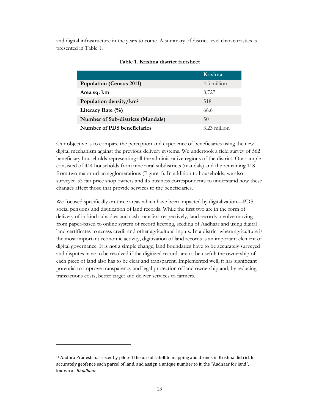and digital infrastructure in the years to come. A summary of district level characteristics is presented in Table 1.

|                                    | Krishna        |
|------------------------------------|----------------|
| <b>Population (Census 2011)</b>    | 4.5 million    |
| Area sq. km                        | 8,727          |
| Population density/km <sup>2</sup> | 518            |
| Literacy Rate $(\% )$              | 66.6           |
| Number of Sub-districts (Mandals)  | 50             |
| Number of PDS beneficiaries        | $3.23$ million |

#### **Table 1. Krishna district factsheet**

Our objective is to compare the perception and experience of beneficiaries using the new digital mechanism against the previous delivery systems. We undertook a field survey of 562 beneficiary households representing all the administrative regions of the district. Our sample consisted of 444 households from nine rural subdistricts (mandals) and the remaining 118 from two major urban agglomerations (Figure 1). In addition to households, we also surveyed 53 fair price shop owners and 45 business correspondents to understand how these changes affect those that provide services to the beneficiaries.

We focused specifically on three areas which have been impacted by digitalization—PDS, social pensions and digitization of land records. While the first two are in the form of delivery of in-kind subsidies and cash transfers respectively, land records involve moving from paper-based to online system of record keeping, seeding of Aadhaar and using digital land certificates to access credit and other agricultural inputs. In a district where agriculture is the most important economic activity, digitization of land records is an important element of digital governance. It is not a simple change; land boundaries have to be accurately surveyed and disputes have to be resolved if the digitized records are to be useful; the ownership of each piece of land also has to be clear and transparent. Implemented well, it has significant potential to improve transparency and legal protection of land ownership and, by reducing transactions costs, better target and deliver services to farmers.[11](#page-15-0)

<span id="page-15-0"></span><sup>11</sup> Andhra Pradesh has recently piloted the use of satellite mapping and drones in Krishna district to accurately geofence each parcel of land, and assign a unique number to it, the "Aadhaar for land", known as *Bhudhaar*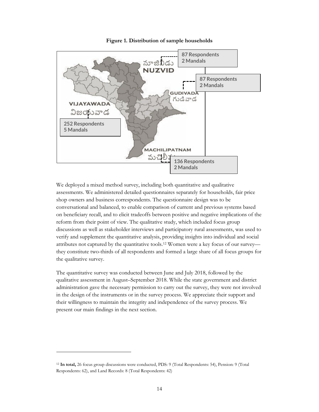

**Figure 1. Distribution of sample households**

We deployed a mixed method survey, including both quantitative and qualitative assessments. We administered detailed questionnaires separately for households, fair price shop owners and business correspondents. The questionnaire design was to be conversational and balanced, to enable comparison of current and previous systems based on beneficiary recall, and to elicit tradeoffs between positive and negative implications of the reform from their point of view. The qualitative study, which included focus group discussions as well as stakeholder interviews and participatory rural assessments, was used to verify and supplement the quantitative analysis, providing insights into individual and social attributes not captured by the quantitative tools.[12](#page-16-0) Women were a key focus of our survey they constitute two-thirds of all respondents and formed a large share of all focus groups for the qualitative survey.

The quantitative survey was conducted between June and July 2018, followed by the qualitative assessment in August–September 2018. While the state government and district administration gave the necessary permission to carry out the survey, they were not involved in the design of the instruments or in the survey process. We appreciate their support and their willingness to maintain the integrity and independence of the survey process. We present our main findings in the next section.

<span id="page-16-0"></span><sup>12</sup> **In total,** 26 focus group discussions were conducted, PDS: 9 (Total Respondents: 54), Pension: 9 (Total Respondents: 62), and Land Records: 8 (Total Respondents: 42)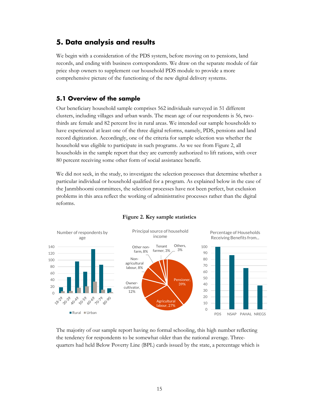## <span id="page-17-0"></span>**5. Data analysis and results**

We begin with a consideration of the PDS system, before moving on to pensions, land records, and ending with business correspondents. We draw on the separate module of fair price shop owners to supplement our household PDS module to provide a more comprehensive picture of the functioning of the new digital delivery systems.

#### <span id="page-17-1"></span>**5.1 Overview of the sample**

Our beneficiary household sample comprises 562 individuals surveyed in 51 different clusters, including villages and urban wards. The mean age of our respondents is 56, twothirds are female and 82 percent live in rural areas. We intended our sample households to have experienced at least one of the three digital reforms, namely, PDS, pensions and land record digitization. Accordingly, one of the criteria for sample selection was whether the household was eligible to participate in such programs. As we see from Figure 2, all households in the sample report that they are currently authorized to lift rations, with over 80 percent receiving some other form of social assistance benefit.

We did not seek, in the study, to investigate the selection processes that determine whether a particular individual or household qualified for a program. As explained below in the case of the Janmbhoomi committees, the selection processes have not been perfect, but exclusion problems in this area reflect the working of administrative processes rather than the digital reforms.



#### **Figure 2. Key sample statistics**

The majority of our sample report having no formal schooling, this high number reflecting the tendency for respondents to be somewhat older than the national average. Threequarters had held Below Poverty Line (BPL) cards issued by the state, a percentage which is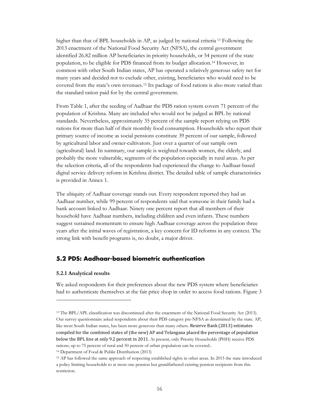higher than that of BPL households in AP, as judged by national criteria <sup>[13](#page-18-1)</sup> Following the 2013 enactment of the National Food Security Act (NFSA), the central government identified 26.82 million AP beneficiaries in priority households, or 54 percent of the state population, to be eligible for PDS financed from its budget allocation.[14](#page-18-2) However, in common with other South Indian states, AP has operated a relatively generous safety net for many years and decided not to exclude other, existing, beneficiaries who would need to be covered from the state's own revenues.[15](#page-18-3) Its package of food rations is also more varied than the standard ration paid for by the central government.

From Table 1, after the seeding of Aadhaar the PDS ration system covers 71 percent of the population of Krishna. Many are included who would not be judged as BPL by national standards. Nevertheless, approximately 35 percent of the sample report relying on PDS rations for more than half of their monthly food consumption. Households who report their primary source of income as social pensions constitute 39 percent of our sample, followed by agricultural labor and owner-cultivators. Just over a quarter of our sample own (agricultural) land. In summary, our sample is weighted towards women, the elderly, and probably the more vulnerable, segments of the population especially in rural areas. As per the selection criteria, all of the respondents had experienced the change to Aadhaar-based digital service delivery reform in Krishna district. The detailed table of sample characteristics is provided in Annex 1.

The ubiquity of Aadhaar coverage stands out. Every respondent reported they had an Aadhaar number, while 99 percent of respondents said that someone in their family had a bank account linked to Aadhaar. Ninety one percent report that all members of their household have Aadhaar numbers, including children and even infants. These numbers suggest sustained momentum to ensure high Aadhaar coverage across the population three years after the initial waves of registration, a key concern for ID reforms in any context. The strong link with benefit programs is, no doubt, a major driver.

#### <span id="page-18-0"></span>**5.2 PDS: Aadhaar-based biometric authentication**

#### **5.2.1 Analytical results**

 $\overline{a}$ 

We asked respondents for their preferences about the new PDS system where beneficiaries had to authenticate themselves at the fair price shop in order to access food rations. Figure 3

<span id="page-18-1"></span><sup>13</sup> The BPL/APL classification was discontinued after the enactment of the National Food Security Act (2013). Our survey questionnaire asked respondents about their PDS category pre-NFSA as determined by the state. AP, like most South Indian states, has been more generous than many others. Reserve Bank (2013) estimates compiled for the combined states of (the new) AP and Telangana placed the percentage of population below the BPL line at only 9.2 percent in 2011. At present, only Priority Households (PHH) receive PDS rations; up to 75 percent of rural and 50 percent of urban population can be covered..

<span id="page-18-2"></span><sup>14</sup> Department of Food & Public Distribution (2013)

<span id="page-18-3"></span><sup>15</sup> AP has followed the same approach of respecting established rights in other areas. In 2015 the state introduced a policy limiting households to at most one pension but grandfathered existing pension recipients from this restriction.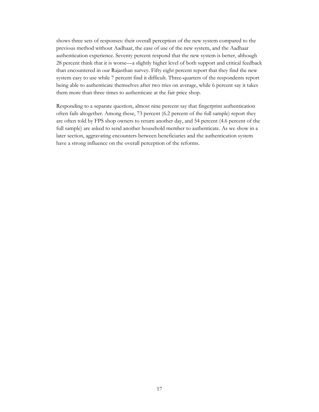shows three sets of responses: their overall perception of the new system compared to the previous method without Aadhaar, the ease of use of the new system, and the Aadhaar authentication experience. Seventy percent respond that the new system is better, although 28 percent think that it is worse—a slightly higher level of both support and critical feedback than encountered in our Rajasthan survey. Fifty eight percent report that they find the new system easy to use while 7 percent find it difficult. Three-quarters of the respondents report being able to authenticate themselves after two tries on average, while 6 percent say it takes them more than three times to authenticate at the fair price shop.

Responding to a separate question, almost nine percent say that fingerprint authentication often fails altogether. Among these, 73 percent (6.2 percent of the full sample) report they are often told by FPS shop owners to return another day, and 54 percent (4.6 percent of the full sample) are asked to send another household member to authenticate. As we show in a later section, aggravating encounters between beneficiaries and the authentication system have a strong influence on the overall perception of the reforms.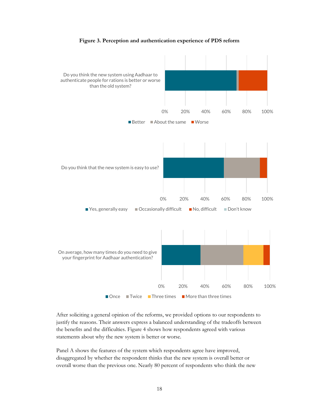



After soliciting a general opinion of the reforms, we provided options to our respondents to justify the reasons. Their answers express a balanced understanding of the tradeoffs between the benefits and the difficulties. Figure 4 shows how respondents agreed with various statements about why the new system is better or worse.

Panel A shows the features of the system which respondents agree have improved, disaggregated by whether the respondent thinks that the new system is overall better or overall worse than the previous one. Nearly 80 percent of respondents who think the new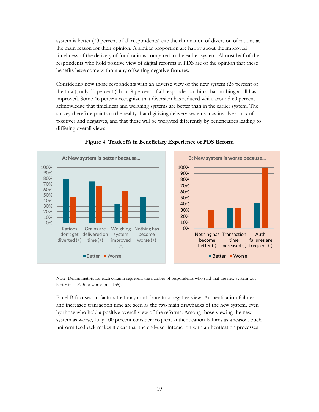system is better (70 percent of all respondents) cite the elimination of diversion of rations as the main reason for their opinion. A similar proportion are happy about the improved timeliness of the delivery of food rations compared to the earlier system. Almost half of the respondents who hold positive view of digital reforms in PDS are of the opinion that these benefits have come without any offsetting negative features.

Considering now those respondents with an adverse view of the new system (28 percent of the total), only 30 percent (about 9 percent of all respondents) think that nothing at all has improved. Some 46 percent recognize that diversion has reduced while around 60 percent acknowledge that timeliness and weighing systems are better than in the earlier system. The survey therefore points to the reality that digitizing delivery systems may involve a mix of positives and negatives, and that these will be weighted differently by beneficiaries leading to differing overall views.



**Figure 4. Tradeoffs in Beneficiary Experience of PDS Reform**

Note: Denominators for each column represent the number of respondents who said that the new system was better ( $n = 390$ ) or worse ( $n = 155$ ).

Panel B focuses on factors that may contribute to a negative view. Authentication failures and increased transaction time are seen as the two main drawbacks of the new system, even by those who hold a positive overall view of the reforms. Among those viewing the new system as worse, fully 100 percent consider frequent authentication failures as a reason. Such uniform feedback makes it clear that the end-user interaction with authentication processes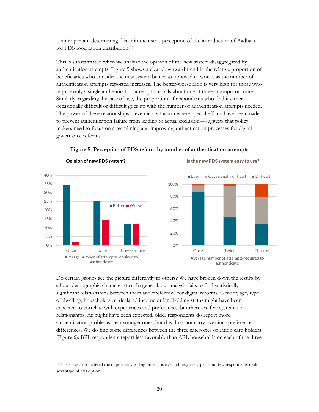is an important determining factor in the user's perception of the introduction of Aadhaar for PDS food ration distribution[.16](#page-22-0)

This is substantiated when we analyze the opinion of the new system disaggregated by authentication attempts. Figure 5 shows a clear downward trend in the relative proportion of beneficiaries who consider the new system better, as opposed to worse, as the number of authentication attempts reported increases. The better-worse ratio is very high for those who require only a single authentication attempt but falls about one at three attempts or more. Similarly, regarding the ease of use, the proportion of respondents who find it either occasionally difficult or difficult goes up with the number of authentication attempts needed. The power of these relationships—even in a situation where special efforts have been made to prevent authentication failure from leading to actual exclusion—suggests that policy makers need to focus on streamlining and improving authentication processes for digital governance reforms.



**Figure 5. Perception of PDS reform by number of authentication attempts**

Do certain groups see the picture differently to others? We have broken down the results by all our demographic characteristics. In general, our analysis fails to find statistically significant relationships between them and preference for digital reforms. Gender, age, type of dwelling, household size, declared income or landholding status might have been expected to correlate with experiences and preferences, but there are few systematic relationships. As might have been expected, older respondents do report more authentication problems than younger ones, but this does not carry over into preference differences. We do find some differences between the three categories of ration card holders (Figure 6): BPL respondents report less favorably than APL households on each of the three

<span id="page-22-0"></span><sup>&</sup>lt;sup>16</sup> The survey also offered the opportunity to flag other positive and negative aspects but few respondents took advantage of this option.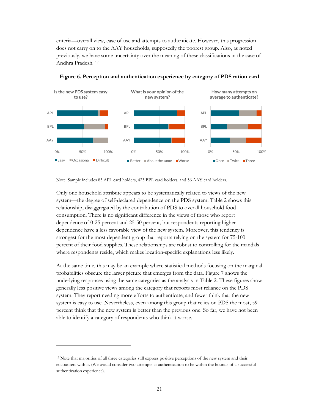criteria—overall view, ease of use and attempts to authenticate. However, this progression does not carry on to the AAY households, supposedly the poorest group. Also, as noted previously, we have some uncertainty over the meaning of these classifications in the case of Andhra Pradesh. [17](#page-23-0)



**Figure 6. Perception and authentication experience by category of PDS ration card**

Note: Sample includes 83 APL card holders, 423 BPL card holders, and 56 AAY card holders.

Only one household attribute appears to be systematically related to views of the new system—the degree of self-declared dependence on the PDS system. Table 2 shows this relationship, disaggregated by the contribution of PDS to overall household food consumption. There is no significant difference in the views of those who report dependence of 0-25 percent and 25-50 percent, but respondents reporting higher dependence have a less favorable view of the new system. Moreover, this tendency is strongest for the most dependent group that reports relying on the system for 75-100 percent of their food supplies. These relationships are robust to controlling for the mandals where respondents reside, which makes location-specific explanations less likely.

At the same time, this may be an example where statistical methods focusing on the marginal probabilities obscure the larger picture that emerges from the data. Figure 7 shows the underlying responses using the same categories as the analysis in Table 2. These figures show generally less positive views among the category that reports most reliance on the PDS system. They report needing more efforts to authenticate, and fewer think that the new system is easy to use. Nevertheless, even among this group that relies on PDS the most, 59 percent think that the new system is better than the previous one. So far, we have not been able to identify a category of respondents who think it worse.

<span id="page-23-0"></span><sup>&</sup>lt;sup>17</sup> Note that majorities of all three categories still express positive perceptions of the new system and their encounters with it. (We would consider two attempts at authentication to be within the bounds of a successful authentication experience).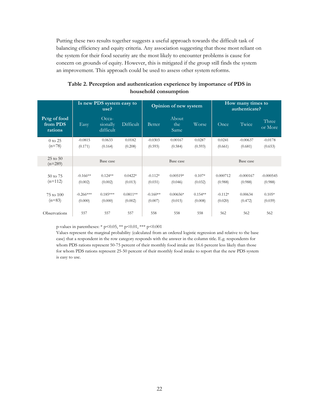Putting these two results together suggests a useful approach towards the difficult task of balancing efficiency and equity criteria. Any association suggesting that those most reliant on the system for their food security are the most likely to encounter problems is cause for concern on grounds of equity. However, this is mitigated if the group still finds the system an improvement. This approach could be used to assess other system reforms.

| Table 2. Perception and authentication experience by importance of PDS in |                       |  |
|---------------------------------------------------------------------------|-----------------------|--|
|                                                                           | household consumption |  |

|                                     | Is new PDS system easy to<br>use? |                                |                       | Opinion of new system |                       |                      | How many times to<br>authenticate? |                        |                        |
|-------------------------------------|-----------------------------------|--------------------------------|-----------------------|-----------------------|-----------------------|----------------------|------------------------------------|------------------------|------------------------|
| Pctg of food<br>from PDS<br>rations | Easy                              | Occa-<br>sionally<br>difficult | Difficult             | <b>Better</b>         | About<br>the<br>Same  | Worse                | Once                               | Twice                  | Three<br>or More       |
| $0$ to $25$                         | $-0.0815$                         | 0.0633                         | 0.0182                | $-0.0303$             | 0.00167               | 0.0287               | 0.0241                             | $-0.00637$             | $-0.0178$              |
| $(n=78)$                            | (0.171)                           | (0.164)                        | (0.208)               | (0.593)               | (0.584)               | (0.593)              | (0.661)                            | (0.681)                | (0.653)                |
| $25$ to $50$<br>$(n=289)$           |                                   | Base case                      |                       |                       | Base case             |                      |                                    | Base case              |                        |
| 50 to 75<br>$(n=112)$               | $-0.166**$<br>(0.002)             | $0.124**$<br>(0.002)           | $0.0422*$<br>(0.013)  | $-0.112*$<br>(0.031)  | $0.00519*$<br>(0.046) | $0.107*$<br>(0.032)  | 0.000712<br>(0.988)                | $-0.000167$<br>(0.988) | $-0.000545$<br>(0.988) |
| 75 to 100<br>$(n=83)$               | $-0.266***$<br>(0.000)            | $0.185***$<br>(0.000)          | $0.0811**$<br>(0.002) | $-0.160**$<br>(0.007) | $0.00656*$<br>(0.015) | $0.154**$<br>(0.008) | $-0.112*$<br>(0.020)               | 0.00634<br>(0.472)     | $0.105*$<br>(0.039)    |
| Observations                        | 557                               | 557                            | 557                   | 558                   | 558                   | 558                  | 562                                | 562                    | 562                    |

p-values in parentheses: \*  $p < 0.05$ , \*\*  $p < 0.01$ , \*\*\*  $p < 0.001$ 

Values represent the marginal probability (calculated from an ordered logistic regression and relative to the base case) that a respondent in the row category responds with the answer in the column title. E.g. respondents for whom PDS rations represent 50-75 percent of their monthly food intake are 16.6 percent less likely than those for whom PDS rations represent 25-50 percent of their monthly food intake to report that the new PDS system is easy to use.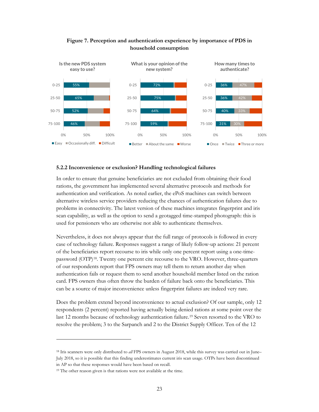

#### **Figure 7. Perception and authentication experience by importance of PDS in household consumption**

#### **5.2.2 Inconvenience or exclusion? Handling technological failures**

In order to ensure that genuine beneficiaries are not excluded from obtaining their food rations, the government has implemented several alternative protocols and methods for authentication and verification. As noted earlier, the ePoS machines can switch between alternative wireless service providers reducing the chances of authentication failures due to problems in connectivity. The latest version of these machines integrates fingerprint and iris scan capability, as well as the option to send a geotagged time-stamped photograph: this is used for pensioners who are otherwise not able to authenticate themselves.

Nevertheless, it does not always appear that the full range of protocols is followed in every case of technology failure. Responses suggest a range of likely follow-up actions: 21 percent of the beneficiaries report recourse to iris while only one percent report using a one-timepassword (OTP[\)18.](#page-25-0) Twenty one percent cite recourse to the VRO. However, three-quarters of our respondents report that FPS owners may tell them to return another day when authentication fails or request them to send another household member listed on the ration card. FPS owners thus often throw the burden of failure back onto the beneficiaries. This can be a source of major inconvenience unless fingerprint failures are indeed very rare.

Does the problem extend beyond inconvenience to actual exclusion? Of our sample, only 12 respondents (2 percent) reported having actually being denied rations at some point over the last 12 months because of technology authentication failure.[19](#page-25-1) Seven resorted to the VRO to resolve the problem; 3 to the Sarpanch and 2 to the District Supply Officer. Ten of the 12

<span id="page-25-0"></span><sup>18</sup> Iris scanners were only distributed to *all* FPS owners in August 2018, while this survey was carried out in June– July 2018, so it is possible that this finding underestimates current iris scan usage. OTPs have been discontinued in AP so that these responses would have been based on recall.

<span id="page-25-1"></span><sup>&</sup>lt;sup>19</sup> The other reason given is that rations were not available at the time.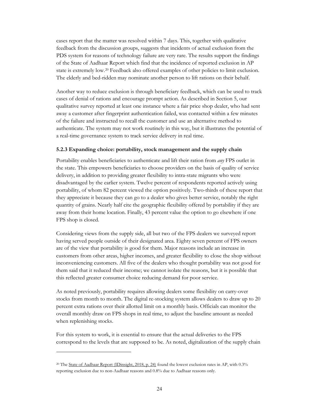cases report that the matter was resolved within 7 days. This, together with qualitative feedback from the discussion groups, suggests that incidents of actual exclusion from the PDS system for reasons of technology failure are very rare. The results support the findings of the State of Aadhaar Report which find that the incidence of reported exclusion in AP state is extremely low.[20](#page-26-0) Feedback also offered examples of other policies to limit exclusion. The elderly and bed-ridden may nominate another person to lift rations on their behalf.

Another way to reduce exclusion is through beneficiary feedback, which can be used to track cases of denial of rations and encourage prompt action. As described in Section 5, our qualitative survey reported at least one instance where a fair price shop dealer, who had sent away a customer after fingerprint authentication failed, was contacted within a few minutes of the failure and instructed to recall the customer and use an alternative method to authenticate. The system may not work routinely in this way, but it illustrates the potential of a real-time governance system to track service delivery in real time.

#### **5.2.3 Expanding choice: portability, stock management and the supply chain**

Portability enables beneficiaries to authenticate and lift their ration from *any* FPS outlet in the state. This empowers beneficiaries to choose providers on the basis of quality of service delivery, in addition to providing greater flexibility to intra-state migrants who were disadvantaged by the earlier system. Twelve percent of respondents reported actively using portability, of whom 82 percent viewed the option positively. Two-thirds of these report that they appreciate it because they can go to a dealer who gives better service, notably the right quantity of grains. Nearly half cite the geographic flexibility offered by portability if they are away from their home location. Finally, 43 percent value the option to go elsewhere if one FPS shop is closed.

Considering views from the supply side, all but two of the FPS dealers we surveyed report having served people outside of their designated area. Eighty seven percent of FPS owners are of the view that portability is good for them. Major reasons include an increase in customers from other areas, higher incomes, and greater flexibility to close the shop without inconveniencing customers. All five of the dealers who thought portability was not good for them said that it reduced their income; we cannot isolate the reasons, but it is possible that this reflected greater consumer choice reducing demand for poor service.

As noted previously, portability requires allowing dealers some flexibility on carry-over stocks from month to month. The digital re-stocking system allows dealers to draw up to 20 percent extra rations over their allotted limit on a monthly basis. Officials can monitor the overall monthly draw on FPS shops in real time, to adjust the baseline amount as needed when replenishing stocks.

For this system to work, it is essential to ensure that the actual deliveries to the FPS correspond to the levels that are supposed to be. As noted, digitalization of the supply chain

<span id="page-26-0"></span><sup>20</sup> The [State of Aadhaar Report \(IDinsight, 2018, p. 24\)](https://stateofaadhaar.in/wp-content/uploads/State-of-Aadhaar-Report_2017-18.pdf) found the lowest exclusion rates in AP, with 0.3% reporting exclusion due to non-Aadhaar reasons and 0.8% due to Aadhaar reasons only.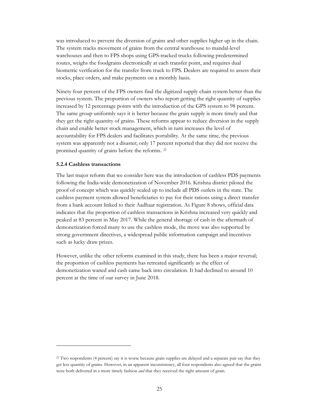was introduced to prevent the diversion of grains and other supplies higher up in the chain. The system tracks movement of grains from the central warehouse to mandal-level warehouses and then to FPS shops using GPS-tracked trucks following predetermined routes, weighs the foodgrains electronically at each transfer point, and requires dual biometric verification for the transfer from truck to FPS. Dealers are required to assess their stocks, place orders, and make payments on a monthly basis.

Ninety four percent of the FPS owners find the digitized supply chain system better than the previous system. The proportion of owners who report getting the right quantity of supplies increased by 12 percentage points with the introduction of the GPS system to 98 percent. The same group uniformly says it is better because the grain supply is more timely and that they get the right quantity of grains. These reforms appear to reduce diversion in the supply chain and enable better stock management, which in turn increases the level of accountability for FPS dealers and facilitates portability. At the same time, the previous system was apparently not a disaster; only 17 percent reported that they did not receive the promised quantity of grains before the reforms. [21](#page-27-0)

#### **5.2.4 Cashless transactions**

 $\overline{a}$ 

The last major reform that we consider here was the introduction of cashless PDS payments following the India-wide demonetization of November 2016. Krishna district piloted the proof of concept which was quickly scaled up to include all PDS outlets in the state. The cashless payment system allowed beneficiaries to pay for their rations using a direct transfer from a bank account linked to their Aadhaar registration. As Figure 8 shows, official data indicates that the proportion of cashless transactions in Krishna increased very quickly and peaked at 83 percent in May 2017. While the general shortage of cash in the aftermath of demonetization forced many to use the cashless mode, the move was also supported by strong government directives, a widespread public information campaign and incentives such as lucky draw prizes.

However, unlike the other reforms examined in this study, there has been a major reversal; the proportion of cashless payments has retreated significantly as the effect of demonetization waned and cash came back into circulation. It had declined to around 10 percent at the time of our survey in June 2018.

<span id="page-27-0"></span><sup>21</sup> Two respondents (4 percent) say it is worse because grain supplies are delayed and a separate pair say that they get less quantity of grains. However, in an apparent inconsistency, all four respondents also agreed that the grains were both delivered in a more timely fashion *and* that they received the right amount of grain.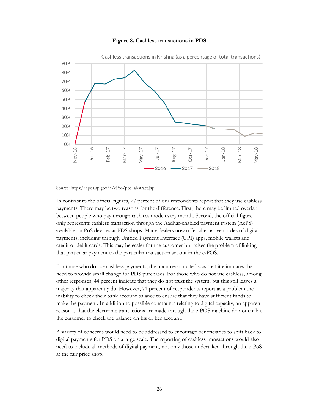



Cashless transactions in Krishna (as a percentage of total transactions)

#### Source: [https://epos.ap.gov.in/ePos/pos\\_abstract.jsp](https://epos.ap.gov.in/ePos/pos_abstract.jsp)

In contrast to the official figures, 27 percent of our respondents report that they use cashless payments. There may be two reasons for the difference. First, there may be limited overlap between people who pay through cashless mode every month. Second, the official figure only represents cashless transaction through the Aadhar-enabled payment system (AePS) available on PoS devices at PDS shops. Many dealers now offer alternative modes of digital payments, including through Unified Payment Interface (UPI) apps, mobile wallets and credit or debit cards. This may be easier for the customer but raises the problem of linking that particular payment to the particular transaction set out in the e-POS.

For those who do use cashless payments, the main reason cited was that it eliminates the need to provide small change for PDS purchases. For those who do not use cashless, among other responses, 44 percent indicate that they do not trust the system, but this still leaves a majority that apparently do. However, 71 percent of respondents report as a problem the inability to check their bank account balance to ensure that they have sufficient funds to make the payment. In addition to possible constraints relating to digital capacity, an apparent reason is that the electronic transactions are made through the e-POS machine do not enable the customer to check the balance on his or her account.

A variety of concerns would need to be addressed to encourage beneficiaries to shift back to digital payments for PDS on a large scale. The reporting of cashless transactions would also need to include all methods of digital payment, not only those undertaken through the e-PoS at the fair price shop.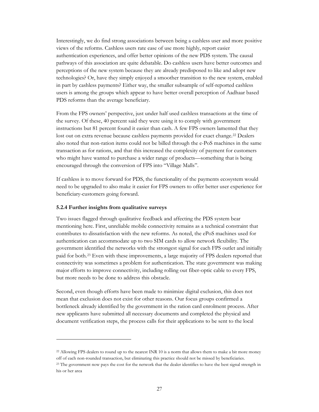Interestingly, we do find strong associations between being a cashless user and more positive views of the reforms. Cashless users rate ease of use more highly, report easier authentication experiences, and offer better opinions of the new PDS system. The causal pathways of this association are quite debatable. Do cashless users have better outcomes and perceptions of the new system because they are already predisposed to like and adopt new technologies? Or, have they simply enjoyed a smoother transition to the new system, enabled in part by cashless payments? Either way, the smaller subsample of self-reported cashless users is among the groups which appear to have better overall perception of Aadhaar based PDS reforms than the average beneficiary.

From the FPS owners' perspective, just under half used cashless transactions at the time of the survey. Of these, 40 percent said they were using it to comply with government instructions but 81 percent found it easier than cash. A few FPS owners lamented that they lost out on extra revenue because cashless payments provided for exact change.[22](#page-29-0) Dealers also noted that non-ration items could not be billed through the e-PoS machines in the same transaction as for rations, and that this increased the complexity of payment for customers who might have wanted to purchase a wider range of products—something that is being encouraged through the conversion of FPS into "Village Malls".

If cashless is to move forward for PDS, the functionality of the payments ecosystem would need to be upgraded to also make it easier for FPS owners to offer better user experience for beneficiary-customers going forward.

#### **5.2.4 Further insights from qualitative surveys**

Two issues flagged through qualitative feedback and affecting the PDS system bear mentioning here. First, unreliable mobile connectivity remains as a technical constraint that contributes to dissatisfaction with the new reforms. As noted, the ePoS machines used for authentication can accommodate up to two SIM cards to allow network flexibility. The government identified the networks with the strongest signal for each FPS outlet and initially paid for both[.23](#page-29-1) Even with these improvements, a large majority of FPS dealers reported that connectivity was sometimes a problem for authentication. The state government was making major efforts to improve connectivity, including rolling out fiber-optic cable to every FPS, but more needs to be done to address this obstacle.

Second, even though efforts have been made to minimize digital exclusion, this does not mean that exclusion does not exist for other reasons. Our focus groups confirmed a bottleneck already identified by the government in the ration card enrolment process. After new applicants have submitted all necessary documents and completed the physical and document verification steps, the process calls for their applications to be sent to the local

<span id="page-29-0"></span><sup>22</sup> Allowing FPS dealers to round up to the nearest INR 10 is a norm that allows them to make a bit more money off of each non-rounded transaction, but eliminating this practice should not be missed by beneficiaries. <sup>23</sup> The government now pays the cost for the network that the dealer identifies to have the best signal strength in

<span id="page-29-1"></span>his or her area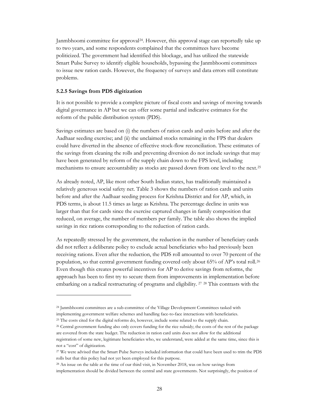Janmbhoomi committee for approval[24](#page-30-0). However, this approval stage can reportedly take up to two years, and some respondents complained that the committees have become politicized. The government had identified this blockage, and has utilized the statewide Smart Pulse Survey to identify eligible households, bypassing the Janmbhoomi committees to issue new ration cards. However, the frequency of surveys and data errors still constitute problems.

#### **5.2.5 Savings from PDS digitization**

 $\overline{a}$ 

It is not possible to provide a complete picture of fiscal costs and savings of moving towards digital governance in AP but we can offer some partial and indicative estimates for the reform of the public distribution system (PDS).

Savings estimates are based on (i) the numbers of ration cards and units before and after the Aadhaar seeding exercise; and (ii) the unclaimed stocks remaining in the FPS that dealers could have diverted in the absence of effective stock-flow reconciliation. These estimates of the savings from cleaning the rolls and preventing diversion do not include savings that may have been generated by reform of the supply chain down to the FPS level, including mechanisms to ensure accountability as stocks are passed down from one level to the next.[25](#page-30-1)

As already noted, AP, like most other South Indian states, has traditionally maintained a relatively generous social safety net. Table 3 shows the numbers of ration cards and units before and after the Aadhaar seeding process for Krishna District and for AP, which, in PDS terms, is about 11.5 times as large as Krishna. The percentage decline in units was larger than that for cards since the exercise captured changes in family composition that reduced, on average, the number of members per family. The table also shows the implied savings in rice rations corresponding to the reduction of ration cards.

As repeatedly stressed by the government, the reduction in the number of beneficiary cards did not reflect a deliberate policy to exclude actual beneficiaries who had previously been receiving rations. Even after the reduction, the PDS roll amounted to over 70 percent of the population, so that central government funding covered only about 65% of AP's total roll.[26](#page-30-2) Even though this creates powerful incentives for AP to derive savings from reforms, the approach has been to first try to secure them from improvements in implementation before embarking on a radical restructuring of programs and eligibility. <sup>[27](#page-30-3)</sup> <sup>[28](#page-30-4)</sup> This contrasts with the

<span id="page-30-0"></span><sup>24</sup> Janmbhoomi committees are a sub-committee of the Village Development Committees tasked with implementing government welfare schemes and handling face-to-face interactions with beneficiaries.

<span id="page-30-1"></span><sup>&</sup>lt;sup>25</sup> The costs cited for the digital reforms do, however, include some related to the supply chain.

<span id="page-30-2"></span><sup>26</sup> Central government funding also only covers funding for the rice subsidy; the costs of the rest of the package are covered from the state budget. The reduction in ration card units does not allow for the additional registration of some new, legitimate beneficiaries who, we understand, were added at the same time, since this is

not a "cost" of digitization.

<span id="page-30-3"></span><sup>27</sup> We were advised that the Smart Pulse Surveys included information that could have been used to trim the PDS rolls but that this policy had not yet been employed for this purpose.

<span id="page-30-4"></span><sup>28</sup> An issue on the table at the time of our third visit, in November 2018, was on how savings from implementation should be divided between the central and state governments. Not surprisingly, the position of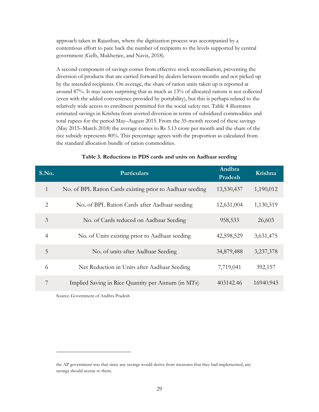approach taken in Rajasthan, where the digitization process was accompanied by a contentious effort to pare back the number of recipients to the levels supported by central government (Gelb, Mukherjee, and Navis, 2018).

A second component of savings comes from effective stock reconciliation, preventing the diversion of products that are carried forward by dealers between months and not picked up by the intended recipients. On average, the share of ration units taken up is reported at around 87%. It may seem surprising that as much as 13% of allocated rations is not collected (even with the added convenience provided by portability), but this is perhaps related to the relatively wide access to enrolment permitted for the social safety net. Table 4 illustrates estimated savings in Krishna from averted diversion in terms of subsidized commodities and total rupees for the period May–August 2015. From the 35-month record of these savings (May 2015–March 2018) the average comes to Rs 5.13 crore per month and the share of the rice subsidy represents 80%. This percentage agrees with the proportion as calculated from the standard allocation bundle of ration commodities.

| S.No.        | <b>Particulars</b>                                        | Andhra<br>Pradesh | Krishna   |
|--------------|-----------------------------------------------------------|-------------------|-----------|
| $\mathbf{1}$ | No. of BPL Ration Cards existing prior to Aadhaar seeding | 13,530,437        | 1,190,012 |
| 2            | No. of BPL Ration Cards after Aadhaar seeding             | 12,631,004        | 1,130,319 |
| 3            | No. of Cards reduced on Aadhaar Seeding                   | 958,533           | 26,603    |
| 4            | No. of Units existing prior to Aadhaar seeding            | 42,598,529        | 3,631,475 |
| 5            | No. of units after Aadhaar Seeding                        | 34,879,488        | 3,237,378 |
| 6            | Net Reduction in Units after Aadhaar Seeding              | 7,719,041         | 392,157   |
| 7            | Implied Saving in Rice Quantity per Annum (in MTs)        | 403142.46         | 16940.943 |

#### **Table 3. Reductions in PDS cards and units on Aadhaar seeding**

Source: Government of Andhra Pradesh

the AP government was that since any savings would derive from measures that they had implemented, any savings should accrue to them.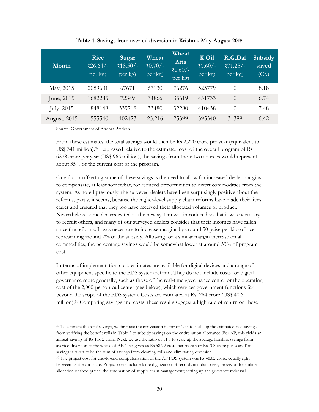| Month                | <b>Rice</b><br>₹26.64/-<br>per kg) | Sugar<br>₹18.50/-<br>per kg) | Wheat<br>₹ $0.70/-$<br>per kg) | Wheat<br>Atta<br>₹1.60/-<br>per kg) | K.Oil<br>₹1.60/-<br>per kg) | R.G.Dal<br>₹ $71.25/-$<br>per kg) | Subsidy<br>saved<br>(Cr.) |
|----------------------|------------------------------------|------------------------------|--------------------------------|-------------------------------------|-----------------------------|-----------------------------------|---------------------------|
| May, 2015            | 2089601                            | 67671                        | 67130                          | 76276                               | 525779                      | $\Omega$                          | 8.18                      |
| June, 2015           | 1682285                            | 72349                        | 34866                          | 35619                               | 451733                      | $\Omega$                          | 6.74                      |
| July, 2015           | 1848148                            | 339718                       | 33480                          | 32280                               | 410438                      | $\theta$                          | 7.48                      |
| <b>August</b> , 2015 | 1555540                            | 102423                       | 23.216                         | 25399                               | 395340                      | 31389                             | 6.42                      |

**Table 4. Savings from averted diversion in Krishna, May-August 2015**

Source: Government of Andhra Pradesh

 $\overline{a}$ 

From these estimates, the total savings would then be Rs 2,220 crore per year (equivalent to US\$ 341 million).[29](#page-32-0) Expressed relative to the estimated cost of the overall program of Rs 6278 crore per year (US\$ 966 million), the savings from these two sources would represent about 35% of the current cost of the program.

One factor offsetting some of these savings is the need to allow for increased dealer margins to compensate, at least somewhat, for reduced opportunities to divert commodities from the system. As noted previously, the surveyed dealers have been surprisingly positive about the reforms, partly, it seems, because the higher-level supply chain reforms have made their lives easier and ensured that they too have received their allocated volumes of product. Nevertheless, some dealers exited as the new system was introduced so that it was necessary to recruit others, and many of our surveyed dealers consider that their incomes have fallen since the reforms. It was necessary to increase margins by around 50 paise per kilo of rice, representing around 2% of the subsidy. Allowing for a similar margin increase on all commodities, the percentage savings would be somewhat lower at around 33% of program cost.

In terms of implementation cost, estimates are available for digital devices and a range of other equipment specific to the PDS system reform. They do not include costs for digital governance more generally, such as those of the real-time governance center or the operating cost of the 2,000-person call center (see below), which services government functions far beyond the scope of the PDS system. Costs are estimated at Rs. 264 crore (US\$ 40.6 million). $30$  Comparing savings and costs, these results suggest a high rate of return on these

<span id="page-32-0"></span><sup>&</sup>lt;sup>29</sup> To estimate the total savings, we first use the conversion factor of 1.25 to scale up the estimated rice savings from verifying the benefit rolls in Table 2 to subsidy savings on the entire ration allowance. For AP, this yields an annual savings of Rs 1,512 crore. Next, we use the ratio of 11.5 to scale up the average Krishna savings from averted diversion to the whole of AP. This gives us Rs 58.99 crore per month or Rs 708 crore per year. Total savings is taken to be the sum of savings from cleaning rolls and eliminating diversion.

<span id="page-32-1"></span><sup>&</sup>lt;sup>30</sup> The project cost for end-to-end computerization of the AP PDS system was Rs 48.62 crore, equally split between centre and state. Project costs included: the digitization of records and databases; provision for online allocation of food grains; the automation of supply chain management; setting up the grievance redressal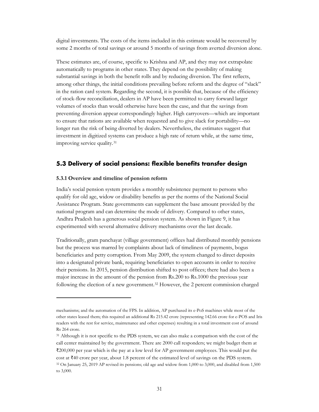digital investments. The costs of the items included in this estimate would be recovered by some 2 months of total savings or around 5 months of savings from averted diversion alone.

These estimates are, of course, specific to Krishna and AP, and they may not extrapolate automatically to programs in other states. They depend on the possibility of making substantial savings in both the benefit rolls and by reducing diversion. The first reflects, among other things, the initial conditions prevailing before reform and the degree of "slack" in the ration card system. Regarding the second, it is possible that, because of the efficiency of stock-flow reconciliation, dealers in AP have been permitted to carry forward larger volumes of stocks than would otherwise have been the case, and that the savings from preventing diversion appear correspondingly higher. High carryovers—which are important to ensure that rations are available when requested and to give slack for portability—no longer run the risk of being diverted by dealers. Nevertheless, the estimates suggest that investment in digitized systems can produce a high rate of return while, at the same time, improving service quality.[31](#page-33-1)

#### <span id="page-33-0"></span>**5.3 Delivery of social pensions: flexible benefits transfer design**

#### **5.3.1 Overview and timeline of pension reform**

 $\overline{a}$ 

<span id="page-33-2"></span>to 3,000.

India's social pension system provides a monthly subsistence payment to persons who qualify for old age, widow or disability benefits as per the norms of the National Social Assistance Program. State governments can supplement the base amount provided by the national program and can determine the mode of delivery. Compared to other states, Andhra Pradesh has a generous social pension system. As shown in Figure 9, it has experimented with several alternative delivery mechanisms over the last decade.

Traditionally, gram panchayat (village government) offices had distributed monthly pensions but the process was marred by complaints about lack of timeliness of payments, bogus beneficiaries and petty corruption. From May 2009, the system changed to direct deposits into a designated private bank, requiring beneficiaries to open accounts in order to receive their pensions. In 2015, pension distribution shifted to post offices; there had also been a major increase in the amount of the pension from Rs.200 to Rs.1000 the previous year following the election of a new government.[32](#page-33-2) However, the 2 percent commission charged

mechanisms; and the automation of the FPS. In addition, AP purchased its e-PoS machines while most of the other states leased them; this required an additional Rs 215.42 crore (representing 142.66 crore for e-POS and Iris readers with the rest for service, maintenance and other expenses) resulting in a total investment cost of around Rs 264 crore.

<span id="page-33-1"></span><sup>&</sup>lt;sup>31</sup> Although it is not specific to the PDS system, we can also make a comparison with the cost of the call center maintained by the government. There are 2000 call responders; we might budget them at ₹200,000 per year which is the pay at a low level for AP government employees. This would put the cost at ₹40 crore per year, about 1.8 percent of the estimated level of savings on the PDS system. <sup>32</sup> On January 25, 2019 AP revised its pensions; old age and widow from 1,000 to 3,000, and disabled from 1,500

<sup>31</sup>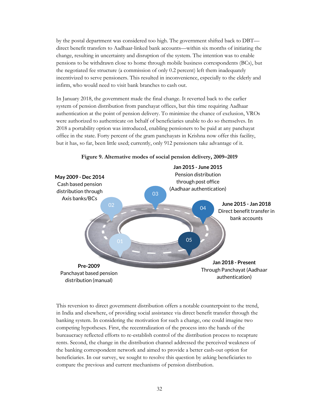by the postal department was considered too high. The government shifted back to DBT direct benefit transfers to Aadhaar-linked bank accounts—within six months of initiating the change, resulting in uncertainty and disruption of the system. The intention was to enable pensions to be withdrawn close to home through mobile business correspondents (BCs), but the negotiated fee structure (a commission of only 0.2 percent) left them inadequately incentivized to serve pensioners. This resulted in inconvenience, especially to the elderly and infirm, who would need to visit bank branches to cash out.

In January 2018, the government made the final change. It reverted back to the earlier system of pension distribution from panchayat offices, but this time requiring Aadhaar authentication at the point of pension delivery. To minimize the chance of exclusion, VROs were authorized to authenticate on behalf of beneficiaries unable to do so themselves. In 2018 a portability option was introduced, enabling pensioners to be paid at any panchayat office in the state. Forty percent of the gram panchayats in Krishna now offer this facility, but it has, so far, been little used; currently, only 912 pensioners take advantage of it.



**Figure 9. Alternative modes of social pension delivery, 2009–2019**

This reversion to direct government distribution offers a notable counterpoint to the trend, in India and elsewhere, of providing social assistance via direct benefit transfer through the banking system. In considering the motivation for such a change, one could imagine two competing hypotheses. First, the recentralization of the process into the hands of the bureaucracy reflected efforts to re-establish control of the distribution process to recapture rents. Second, the change in the distribution channel addressed the perceived weakness of the banking correspondent network and aimed to provide a better cash-out option for beneficiaries. In our survey, we sought to resolve this question by asking beneficiaries to compare the previous and current mechanisms of pension distribution.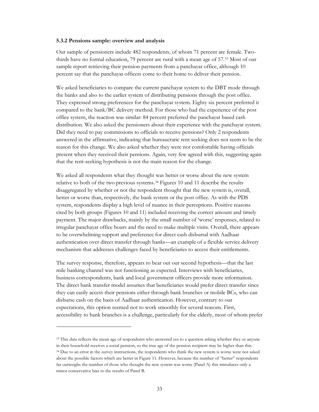#### **5.3.2 Pensions sample: overview and analysis**

Our sample of pensioners include 482 respondents, of whom 71 percent are female. Twothirds have no formal education, 79 percent are rural with a mean age of 57.[33](#page-35-0) Most of our sample report retrieving their pension payments from a panchayat office, although 10 percent say that the panchayat officers come to their home to deliver their pension.

We asked beneficiaries to compare the current panchayat system to the DBT mode through the banks and also to the earlier system of distributing pensions through the post office. They expressed strong preferences for the panchayat system. Eighty six percent preferred it compared to the bank/BC delivery method. For those who had the experience of the post office system, the reaction was similar: 84 percent preferred the panchayat based cash distribution. We also asked the pensioners about their experience with the panchayat system. Did they need to pay commissions to officials to receive pensions? Only 2 respondents answered in the affirmative, indicating that bureaucratic rent seeking does not seem to be the reason for this change. We also asked whether they were not comfortable having officials present when they received their pensions. Again, very few agreed with this, suggesting again that the rent-seeking hypothesis is not the main reason for the change.

We asked all respondents what they thought was better or worse about the new system relative to both of the two previous systems.[34](#page-35-1) Figures 10 and 11 describe the results disaggregated by whether or not the respondent thought that the new system is, overall, better or worse than, respectively, the bank system or the post office. As with the PDS system, respondents display a high level of nuance in their perceptions. Positive reasons cited by both groups (Figures 10 and 11) included receiving the correct amount and timely payment. The major drawbacks, mainly by the small number of 'worse' responses, related to irregular panchayat office hours and the need to make multiple visits. Overall, there appears to be overwhelming support and preference for direct cash disbursal with Aadhaar authentication over direct transfer through banks—an example of a flexible service delivery mechanism that addresses challenges faced by beneficiaries to access their entitlements.

The survey response, therefore, appears to bear out our second hypothesis—that the last mile banking channel was not functioning as expected. Interviews with beneficiaries, business correspondents, bank and local government officers provide more information. The direct bank transfer model assumes that beneficiaries would prefer direct transfer since they can easily access their pensions either through bank branches or mobile BCs, who can disburse cash on the basis of Aadhaar authentication. However, contrary to our expectations, this option seemed not to work smoothly for several reasons. First, accessibility to bank branches is a challenge, particularly for the elderly, most of whom prefer

<span id="page-35-1"></span><span id="page-35-0"></span><sup>&</sup>lt;sup>33</sup> This data reflects the mean age of respondents who answered yes to a question asking whether they or anyone in their household receives a social pension, so the true age of the pension recipient may be higher than this. <sup>34</sup> Due to an error in the survey instructions, the respondents who think the new system is worse were not asked about the possible factors which are better in Figure 11. However, because the number of "better" respondents far outweighs the number of those who thought the new system was worse (Panel A) this introduces only a minor conservative bias to the results of Panel B.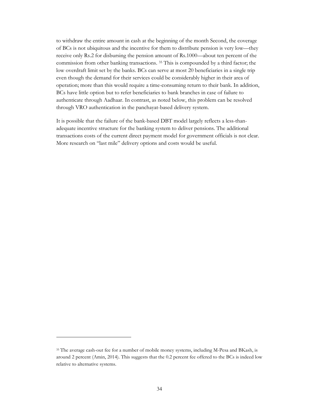to withdraw the entire amount in cash at the beginning of the month Second, the coverage of BCs is not ubiquitous and the incentive for them to distribute pension is very low—they receive only Rs.2 for disbursing the pension amount of Rs.1000—about ten percent of the commission from other banking transactions. [35](#page-36-0) This is compounded by a third factor; the low overdraft limit set by the banks. BCs can serve at most 20 beneficiaries in a single trip even though the demand for their services could be considerably higher in their area of operation; more than this would require a time-consuming return to their bank. In addition, BCs have little option but to refer beneficiaries to bank branches in case of failure to authenticate through Aadhaar. In contrast, as noted below, this problem can be resolved through VRO authentication in the panchayat-based delivery system.

It is possible that the failure of the bank-based DBT model largely reflects a less-thanadequate incentive structure for the banking system to deliver pensions. The additional transactions costs of the current direct payment model for government officials is not clear. More research on "last mile" delivery options and costs would be useful.

<span id="page-36-0"></span><sup>35</sup> The average cash-out fee for a number of mobile money systems, including M-Pesa and BKash, is around 2 percent (Amin, 2014). This suggests that the 0.2 percent fee offered to the BCs is indeed low relative to alternative systems.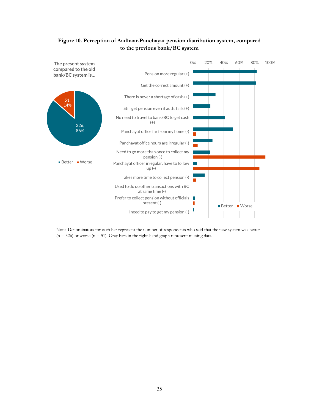

#### **Figure 10. Perception of Aadhaar-Panchayat pension distribution system, compared to the previous bank/BC system**

Note: Denominators for each bar represent the number of respondents who said that the new system was better  $(n = 326)$  or worse  $(n = 51)$ . Gray bars in the right-hand graph represent missing data.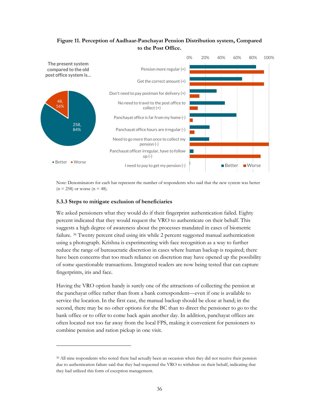#### **Figure 11. Perception of Aadhaar-Panchayat Pension Distribution system, Compared to the Post Office.**



Note: Denominators for each bar represent the number of respondents who said that the new system was better  $(n = 258)$  or worse  $(n = 48)$ .

#### **5.3.3 Steps to mitigate exclusion of beneficiaries**

 $\overline{a}$ 

We asked pensioners what they would do if their fingerprint authentication failed. Eighty percent indicated that they would request the VRO to authenticate on their behalf. This suggests a high degree of awareness about the processes mandated in cases of biometric failure. [36](#page-38-0) Twenty percent cited using iris while 2 percent suggested manual authentication using a photograph. Krishna is experimenting with face recognition as a way to further reduce the range of bureaucratic discretion in cases where human backup is required; there have been concerns that too much reliance on discretion may have opened up the possibility of some questionable transactions. Integrated readers are now being tested that can capture fingerprints, iris and face.

Having the VRO option handy is surely one of the attractions of collecting the pension at the panchayat office rather than from a bank correspondent—even if one is available to service the location. In the first case, the manual backup should be close at hand; in the second, there may be no other options for the BC than to direct the pensioner to go to the bank office or to offer to come back again another day. In addition, panchayat offices are often located not too far away from the local FPS, making it convenient for pensioners to combine pension and ration pickup in one visit.

<span id="page-38-0"></span><sup>36</sup> All nine respondents who noted there had actually been an occasion when they did not receive their pension due to authentication failure said that they had requested the VRO to withdraw on their behalf, indicating that they had utilized this form of exception management.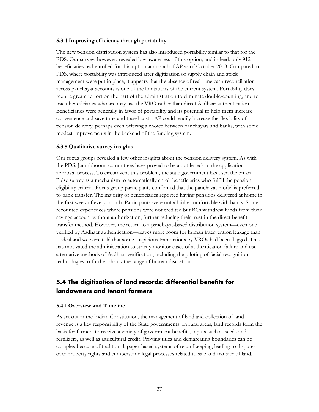#### **5.3.4 Improving efficiency through portability**

The new pension distribution system has also introduced portability similar to that for the PDS. Our survey, however, revealed low awareness of this option, and indeed, only 912 beneficiaries had enrolled for this option across all of AP as of October 2018. Compared to PDS, where portability was introduced after digitization of supply chain and stock management were put in place, it appears that the absence of real-time cash reconciliation across panchayat accounts is one of the limitations of the current system. Portability does require greater effort on the part of the administration to eliminate double-counting, and to track beneficiaries who are may use the VRO rather than direct Aadhaar authentication. Beneficiaries were generally in favor of portability and its potential to help them increase convenience and save time and travel costs. AP could readily increase the flexibility of pension delivery, perhaps even offering a choice between panchayats and banks, with some modest improvements in the backend of the funding system.

#### **5.3.5 Qualitative survey insights**

Our focus groups revealed a few other insights about the pension delivery system. As with the PDS, Janmbhoomi committees have proved to be a bottleneck in the application approval process. To circumvent this problem, the state government has used the Smart Pulse survey as a mechanism to automatically enroll beneficiaries who fulfill the pension eligibility criteria. Focus group participants confirmed that the panchayat model is preferred to bank transfer. The majority of beneficiaries reported having pensions delivered at home in the first week of every month. Participants were not all fully comfortable with banks. Some recounted experiences where pensions were not credited but BCs withdrew funds from their savings account without authorization, further reducing their trust in the direct benefit transfer method. However, the return to a panchayat-based distribution system—even one verified by Aadhaar authentication—leaves more room for human intervention leakage than is ideal and we were told that some suspicious transactions by VROs had been flagged. This has motivated the administration to strictly monitor cases of authentication failure and use alternative methods of Aadhaar verification, including the piloting of facial recognition technologies to further shrink the range of human discretion.

## <span id="page-39-0"></span>**5.4 The digitization of land records: differential benefits for landowners and tenant farmers**

#### **5.4.1 Overview and Timeline**

As set out in the Indian Constitution, the management of land and collection of land revenue is a key responsibility of the State governments. In rural areas, land records form the basis for farmers to receive a variety of government benefits, inputs such as seeds and fertilizers, as well as agricultural credit. Proving titles and demarcating boundaries can be complex because of traditional, paper-based systems of recordkeeping, leading to disputes over property rights and cumbersome legal processes related to sale and transfer of land.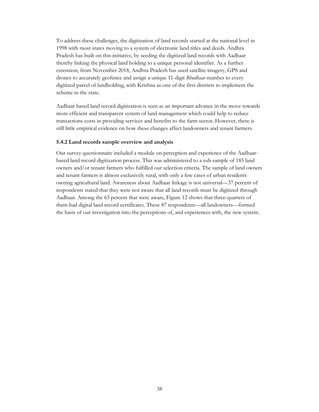To address these challenges, the digitization of land records started at the national level in 1998 with most states moving to a system of electronic land titles and deeds. Andhra Pradesh has built on this initiative, by seeding the digitized land records with Aadhaar thereby linking the physical land holding to a unique personal identifier. As a further extension, from November 2018, Andhra Pradesh has used satellite imagery, GPS and drones to accurately geofence and assign a unique 11-digit *Bhudhaar* number to every digitized parcel of landholding, with Krishna as one of the first districts to implement the scheme in the state.

Aadhaar based land record digitization is seen as an important advance in the move towards more efficient and transparent system of land management which could help to reduce transactions costs in providing services and benefits to the farm sector. However, there is still little empirical evidence on how these changes affect landowners and tenant farmers.

#### **5.4.2 Land records sample overview and analysis**

Our survey questionnaire included a module on perception and experience of the Aadhaarbased land record digitization process. This was administered to a sub-sample of 185 land owners and/or tenant farmers who fulfilled our selection criteria. The sample of land owners and tenant farmers is almost exclusively rural, with only a few cases of urban residents owning agricultural land. Awareness about Aadhaar linkage is not universal—37 percent of respondents stated that they were not aware that all land records must be digitized through Aadhaar. Among the 63 percent that were aware, Figure 12 shows that three-quarters of them had digital land record certificates. These 87 respondents—all landowners—formed the basis of our investigation into the perceptions of, and experiences with, the new system.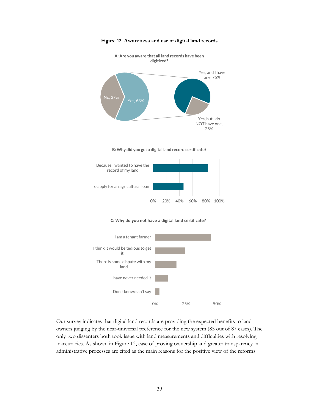

**Figure 12. Awareness and use of digital land records**

**A: Are you aware that all land records have been** 









Our survey indicates that digital land records are providing the expected benefits to land owners judging by the near-universal preference for the new system (85 out of 87 cases). The only two dissenters both took issue with land measurements and difficulties with resolving inaccuracies. As shown in Figure 13, ease of proving ownership and greater transparency in administrative processes are cited as the main reasons for the positive view of the reforms.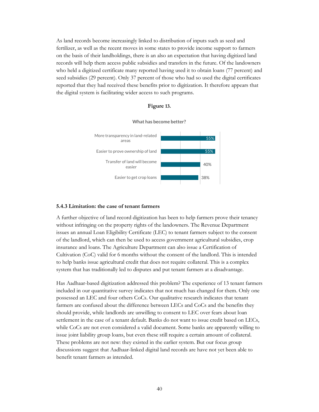As land records become increasingly linked to distribution of inputs such as seed and fertilizer, as well as the recent moves in some states to provide income support to farmers on the basis of their landholdings, there is an also an expectation that having digitized land records will help them access public subsidies and transfers in the future. Of the landowners who held a digitized certificate many reported having used it to obtain loans (77 percent) and seed subsidies (29 percent). Only 37 percent of those who had so used the digital certificates reported that they had received these benefits prior to digitization. It therefore appears that the digital system is facilitating wider access to such programs.





#### **5.4.3 Limitation: the case of tenant farmers**

A further objective of land record digitization has been to help farmers prove their tenancy without infringing on the property rights of the landowners. The Revenue Department issues an annual Loan Eligibility Certificate (LEC) to tenant farmers subject to the consent of the landlord, which can then be used to access government agricultural subsidies, crop insurance and loans. The Agriculture Department can also issue a Certification of Cultivation (CoC) valid for 6 months without the consent of the landlord. This is intended to help banks issue agricultural credit that does not require collateral. This is a complex system that has traditionally led to disputes and put tenant farmers at a disadvantage.

Has Aadhaar-based digitization addressed this problem? The experience of 13 tenant farmers included in our quantitative survey indicates that not much has changed for them. Only one possessed an LEC and four others CoCs. Our qualitative research indicates that tenant farmers are confused about the difference between LECs and CoCs and the benefits they should provide, while landlords are unwilling to consent to LEC over fears about loan settlement in the case of a tenant default. Banks do not want to issue credit based on LECs, while CoCs are not even considered a valid document. Some banks are apparently willing to issue joint liability group loans, but even these still require a certain amount of collateral. These problems are not new: they existed in the earlier system. But our focus group discussions suggest that Aadhaar-linked digital land records are have not yet been able to benefit tenant farmers as intended.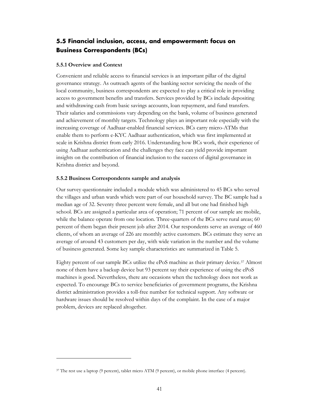## <span id="page-43-0"></span>**5.5 Financial inclusion, access, and empowerment: focus on Business Correspondents (BCs)**

#### **5.5.1 Overview and Context**

 $\overline{a}$ 

Convenient and reliable access to financial services is an important pillar of the digital governance strategy. As outreach agents of the banking sector servicing the needs of the local community, business correspondents are expected to play a critical role in providing access to government benefits and transfers. Services provided by BCs include depositing and withdrawing cash from basic savings accounts, loan repayment, and fund transfers. Their salaries and commissions vary depending on the bank, volume of business generated and achievement of monthly targets. Technology plays an important role especially with the increasing coverage of Aadhaar-enabled financial services. BCs carry micro-ATMs that enable them to perform e-KYC Aadhaar authentication, which was first implemented at scale in Krishna district from early 2016. Understanding how BCs work, their experience of using Aadhaar authentication and the challenges they face can yield provide important insights on the contribution of financial inclusion to the success of digital governance in Krishna district and beyond.

#### **5.5.2 Business Correspondents sample and analysis**

Our survey questionnaire included a module which was administered to 45 BCs who served the villages and urban wards which were part of our household survey. The BC sample had a median age of 32. Seventy three percent were female, and all but one had finished high school. BCs are assigned a particular area of operation; 71 percent of our sample are mobile, while the balance operate from one location. Three-quarters of the BCs serve rural areas; 60 percent of them began their present job after 2014. Our respondents serve an average of 460 clients, of whom an average of 226 are monthly active customers. BCs estimate they serve an average of around 43 customers per day, with wide variation in the number and the volume of business generated. Some key sample characteristics are summarized in Table 5.

Eighty percent of our sample BCs utilize the ePoS machine as their primary device.[37](#page-43-1) Almost none of them have a backup device but 93 percent say their experience of using the ePoS machines is good. Nevertheless, there are occasions when the technology does not work as expected. To encourage BCs to service beneficiaries of government programs, the Krishna district administration provides a toll-free number for technical support. Any software or hardware issues should be resolved within days of the complaint. In the case of a major problem, devices are replaced altogether.

<span id="page-43-1"></span><sup>37</sup> The rest use a laptop (9 percent), tablet micro ATM (9 percent), or mobile phone interface (4 percent).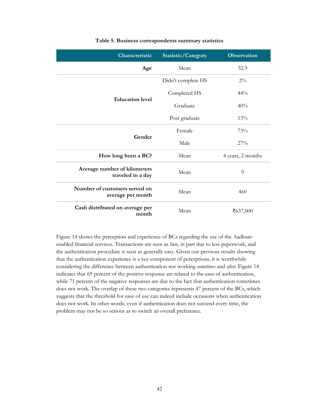| Characteristic                                     | Statistic/Category | <b>Observation</b> |  |
|----------------------------------------------------|--------------------|--------------------|--|
| Age                                                | Mean               | 32.9               |  |
|                                                    | Didn't complete HS | $2\%$              |  |
| <b>Education level</b>                             | Completed HS       | $44\%$             |  |
|                                                    | Graduate           | 40%                |  |
|                                                    | Post graduate      | 13%                |  |
| Gender                                             | Female             | 73%                |  |
|                                                    | Male               | 27%                |  |
| How long been a BC?                                | Mean               | 4 years, 2 months  |  |
| Average number of kilometers<br>traveled in a day  | Mean               | 9                  |  |
| Number of customers served on<br>average per month | Mean               | 460                |  |
| Cash distributed on average per<br>month           | Mean               | ₹637,000           |  |

#### **Table 5. Business correspondents summary statistics**

Figure 14 shows the perception and experience of BCs regarding the use of the Aadhaarenabled financial services. Transactions are seen as fast, in part due to less paperwork, and the authentication procedure is seen as generally easy. Given our previous results showing that the authentication experience is a key component of perceptions, it is worthwhile considering the difference between authentication not working *sometimes* and *often*. Figure 14 indicates that 69 percent of the positive response are related to the ease of authentication, while 71 percent of the negative responses are due to the fact that authentication sometimes does not work. The overlap of these two categories represents 47 percent of the BCs, which suggests that the threshold for ease of use can indeed include occasions when authentication does not work. In other words, even if authentication does not succeed every time, the problem may not be so serious as to switch an overall preference.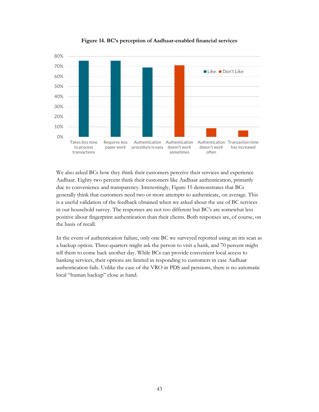

**Figure 14. BC's perception of Aadhaar-enabled financial services**

We also asked BCs how they think their customers perceive their services and experience Aadhaar. Eighty two percent think their customers like Aadhaar authentication, primarily due to convenience and transparency. Interestingly, Figure 15 demonstrates that BCs generally think that customers need two or more attempts to authenticate, on average. This is a useful validation of the feedback obtained when we asked about the use of BC services in our household survey. The responses are not too different but BC's are somewhat less positive about fingerprint authentication than their clients. Both responses are, of course, on the basis of recall.

In the event of authentication failure, only one BC we surveyed reported using an iris scan as a backup option. Three-quarters might ask the person to visit a bank, and 70 percent might tell them to come back another day. While BCs can provide convenient local access to banking services, their options are limited in responding to customers in case Aadhaar authentication fails. Unlike the case of the VRO in PDS and pensions, there is no automatic local "human backup" close at hand.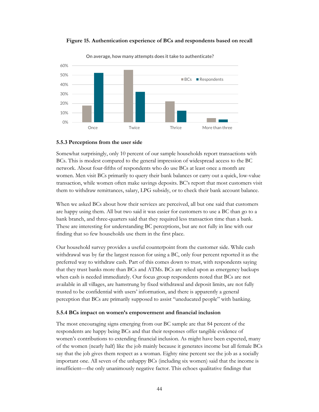

**Figure 15. Authentication experience of BCs and respondents based on recall**

#### **5.5.3 Perceptions from the user side**

Somewhat surprisingly, only 10 percent of our sample households report transactions with BCs. This is modest compared to the general impression of widespread access to the BC network. About four-fifths of respondents who do use BCs at least once a month are women. Men visit BCs primarily to query their bank balances or carry out a quick, low-value transaction, while women often make savings deposits. BC's report that most customers visit them to withdraw remittances, salary, LPG subsidy, or to check their bank account balance.

When we asked BCs about how their services are perceived, all but one said that customers are happy using them. All but two said it was easier for customers to use a BC than go to a bank branch, and three-quarters said that they required less transaction time than a bank. These are interesting for understanding BC perceptions, but are not fully in line with our finding that so few households use them in the first place.

Our household survey provides a useful counterpoint from the customer side. While cash withdrawal was by far the largest reason for using a BC, only four percent reported it as the preferred way to withdraw cash. Part of this comes down to trust, with respondents saying that they trust banks more than BCs and ATMs. BCs are relied upon as emergency backups when cash is needed immediately. Our focus group respondents noted that BCs are not available in all villages, are hamstrung by fixed withdrawal and deposit limits, are not fully trusted to be confidential with users' information, and there is apparently a general perception that BCs are primarily supposed to assist "uneducated people" with banking.

#### **5.5.4 BCs impact on women's empowerment and financial inclusion**

The most encouraging signs emerging from our BC sample are that 84 percent of the respondents are happy being BCs and that their responses offer tangible evidence of women's contributions to extending financial inclusion. As might have been expected, many of the women (nearly half) like the job mainly because it generates income but all female BCs say that the job gives them respect as a woman. Eighty nine percent see the job as a socially important one. All seven of the unhappy BCs (including six women) said that the income is insufficient—the only unanimously negative factor. This echoes qualitative findings that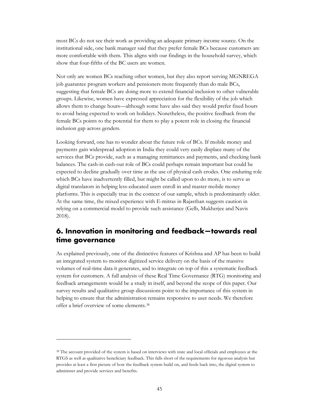most BCs do not see their work as providing an adequate primary income source. On the institutional side, one bank manager said that they prefer female BCs because customers are more comfortable with them. This aligns with our findings in the household survey, which show that four-fifths of the BC users are women.

Not only are women BCs reaching other women, but they also report serving MGNREGA job guarantee program workers and pensioners more frequently than do male BCs, suggesting that female BCs are doing more to extend financial inclusion to other vulnerable groups. Likewise, women have expressed appreciation for the flexibility of the job which allows them to change hours—although some have also said they would prefer fixed hours to avoid being expected to work on holidays. Nonetheless, the positive feedback from the female BCs points to the potential for them to play a potent role in closing the financial inclusion gap across genders.

Looking forward, one has to wonder about the future role of BCs. If mobile money and payments gain widespread adoption in India they could very easily displace many of the services that BCs provide, such as a managing remittances and payments, and checking bank balances. The cash-in cash-out role of BCs could perhaps remain important but could be expected to decline gradually over time as the use of physical cash erodes. One enduring role which BCs have inadvertently filled, but might be called upon to do more, is to serve as digital translators in helping less-educated users enroll in and master mobile money platforms. This is especially true in the context of our sample, which is predominantly older. At the same time, the mixed experience with E-mitras in Rajasthan suggests caution in relying on a commercial model to provide such assistance (Gelb, Mukherjee and Navis 2018).

## <span id="page-47-0"></span>**6. Innovation in monitoring and feedback—towards real time governance**

As explained previously, one of the distinctive features of Krishna and AP has been to build an integrated system to monitor digitized service delivery on the basis of the massive volumes of real-time data it generates, and to integrate on top of this a systematic feedback system for customers. A full analysis of these Real Time Governance (RTG) monitoring and feedback arrangements would be a study in itself, and beyond the scope of this paper. Our survey results and qualitative group discussions point to the importance of this system in helping to ensure that the administration remains responsive to user needs. We therefore offer a brief overview of some elements.[38](#page-47-1)

<span id="page-47-1"></span><sup>38</sup> The account provided of the system is based on interviews with state and local officials and employees at the RTGS as well as qualitative beneficiary feedback. This falls short of the requirements for rigorous analysis but provides at least a first picture of how the feedback system build on, and feeds back into, the digital system to administer and provide services and benefits.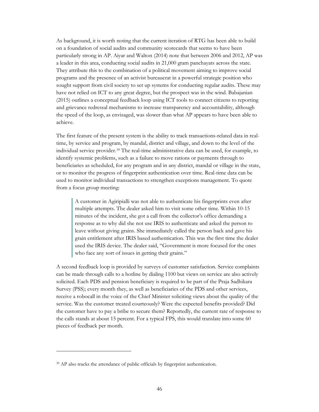As background, it is worth noting that the current iteration of RTG has been able to build on a foundation of social audits and community scorecards that seems to have been particularly strong in AP. Aiyar and Walton (2014) note that between 2006 and 2012, AP was a leader in this area, conducting social audits in 21,000 gram panchayats across the state. They attribute this to the combination of a political movement aiming to improve social programs and the presence of an activist bureaucrat in a powerful strategic position who sought support from civil society to set up systems for conducting regular audits. These may have not relied on ICT to any great degree, but the prospect was in the wind. Babajanian (2015) outlines a conceptual feedback loop using ICT tools to connect citizens to reporting and grievance redressal mechanisms to increase transparency and accountability, although the speed of the loop, as envisaged, was slower than what AP appears to have been able to achieve.

The first feature of the present system is the ability to track transactions-related data in realtime, by service and program, by mandal, district and village, and down to the level of the individual service provider.[39](#page-48-0) The real-time administrative data can be used, for example, to identify systemic problems, such as a failure to move rations or payments through to beneficiaries as scheduled, for any program and in any district, mandal or village in the state, or to monitor the progress of fingerprint authentication over time. Real-time data can be used to monitor individual transactions to strengthen exceptions management. To quote from a focus group meeting:

A customer in Agiripialli was not able to authenticate his fingerprints even after multiple attempts. The dealer asked him to visit some other time. Within 10-15 minutes of the incident, she got a call from the collector's office demanding a response as to why did she not use IRIS to authenticate and asked the person to leave without giving grains. She immediately called the person back and gave his grain entitlement after IRIS based authentication. This was the first time the dealer used the IRIS device. The dealer said, "Government is more focused for the ones who face any sort of issues in getting their grains."

A second feedback loop is provided by surveys of customer satisfaction. Service complaints can be made through calls to a hotline by dialing 1100 but views on service are also actively solicited. Each PDS and pension beneficiary is required to be part of the Praja Sadhikara Survey (PSS); every month they, as well as beneficiaries of the PDS and other services, receive a robocall in the voice of the Chief Minister soliciting views about the quality of the service. Was the customer treated courteously? Were the expected benefits provided? Did the customer have to pay a bribe to secure them? Reportedly, the current rate of response to the calls stands at about 15 percent. For a typical FPS, this would translate into some 60 pieces of feedback per month.

<span id="page-48-0"></span><sup>&</sup>lt;sup>39</sup> AP also tracks the attendance of public officials by fingerprint authentication.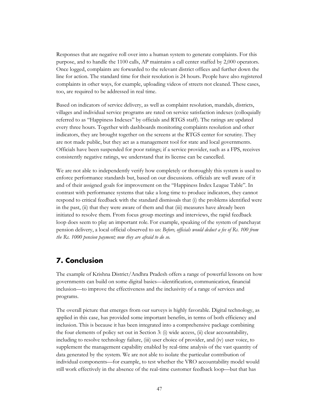Responses that are negative roll over into a human system to generate complaints. For this purpose, and to handle the 1100 calls, AP maintains a call center staffed by 2,000 operators. Once logged, complaints are forwarded to the relevant district offices and further down the line for action. The standard time for their resolution is 24 hours. People have also registered complaints in other ways, for example, uploading videos of streets not cleaned. These cases, too, are required to be addressed in real time.

Based on indicators of service delivery, as well as complaint resolution, mandals, districts, villages and individual service programs are rated on service satisfaction indexes (colloquially referred to as "Happiness Indexes" by officials and RTGS staff). The ratings are updated every three hours. Together with dashboards monitoring complaints resolution and other indicators, they are brought together on the screens at the RTGS center for scrutiny. They are not made public, but they act as a management tool for state and local governments. Officials have been suspended for poor ratings; if a service provider, such as a FPS, receives consistently negative ratings, we understand that its license can be cancelled.

We are not able to independently verify how completely or thoroughly this system is used to enforce performance standards but, based on our discussions. officials are well aware of it and of their assigned goals for improvement on the "Happiness Index League Table". In contrast with performance systems that take a long time to produce indicators, they cannot respond to critical feedback with the standard dismissals that (i) the problems identified were in the past, (ii) that they were aware of them and that (iii) measures have already been initiated to resolve them. From focus group meetings and interviews, the rapid feedback loop does seem to play an important role. For example, speaking of the system of panchayat pension delivery, a local official observed to us: *Before, officials would deduct a fee of Rs. 100 from the Rs. 1000 pension payment; now they are afraid to do so.* 

## <span id="page-49-0"></span>**7. Conclusion**

The example of Krishna District/Andhra Pradesh offers a range of powerful lessons on how governments can build on some digital basics—identification, communication, financial inclusion—to improve the effectiveness and the inclusivity of a range of services and programs.

The overall picture that emerges from our surveys is highly favorable. Digital technology, as applied in this case, has provided some important benefits, in terms of both efficiency and inclusion. This is because it has been integrated into a comprehensive package combining the four elements of policy set out in Section 3: (i) wide access, (ii) clear accountability, including to resolve technology failure, (iii) user choice of provider, and (iv) user voice, to supplement the management capability enabled by real-time analysis of the vast quantity of data generated by the system. We are not able to isolate the particular contribution of individual components—for example, to test whether the VRO accountability model would still work effectively in the absence of the real-time customer feedback loop—but that has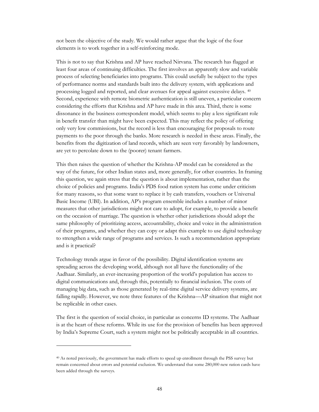not been the objective of the study. We would rather argue that the logic of the four elements is to work together in a self-reinforcing mode.

This is not to say that Krishna and AP have reached Nirvana. The research has flagged at least four areas of continuing difficulties. The first involves an apparently slow and variable process of selecting beneficiaries into programs. This could usefully be subject to the types of performance norms and standards built into the delivery system, with applications and processing logged and reported, and clear avenues for appeal against excessive delays. [40](#page-50-0) Second, experience with remote biometric authentication is still uneven, a particular concern considering the efforts that Krishna and AP have made in this area. Third, there is some dissonance in the business correspondent model, which seems to play a less significant role in benefit transfer than might have been expected. This may reflect the policy of offering only very low commissions, but the record is less than encouraging for proposals to route payments to the poor through the banks. More research is needed in these areas. Finally, the benefits from the digitization of land records, which are seen very favorably by landowners, are yet to percolate down to the (poorer) tenant farmers.

This then raises the question of whether the Krishna-AP model can be considered as the way of the future, for other Indian states and, more generally, for other countries. In framing this question, we again stress that the question is about implementation, rather than the choice of policies and programs. India's PDS food ration system has come under criticism for many reasons, so that some want to replace it by cash transfers, vouchers or Universal Basic Income (UBI). In addition, AP's program ensemble includes a number of minor measures that other jurisdictions might not care to adopt, for example, to provide a benefit on the occasion of marriage. The question is whether other jurisdictions should adopt the same philosophy of prioritizing access, accountability, choice and voice in the administration of their programs, and whether they can copy or adapt this example to use digital technology to strengthen a wide range of programs and services. Is such a recommendation appropriate and is it practical?

Technology trends argue in favor of the possibility. Digital identification systems are spreading across the developing world, although not all have the functionality of the Aadhaar. Similarly, an ever-increasing proportion of the world's population has access to digital communications and, through this, potentially to financial inclusion. The costs of managing big data, such as those generated by real-time digital service delivery systems, are falling rapidly. However, we note three features of the Krishna—AP situation that might not be replicable in other cases.

The first is the question of social choice, in particular as concerns ID systems. The Aadhaar is at the heart of these reforms. While its use for the provision of benefits has been approved by India's Supreme Court, such a system might not be politically acceptable in all countries.

<span id="page-50-0"></span><sup>40</sup> As noted previously, the government has made efforts to speed up enrollment through the PSS survey but remain concerned about errors and potential exclusion. We understand that some 280,000 new ration cards have been added through the surveys.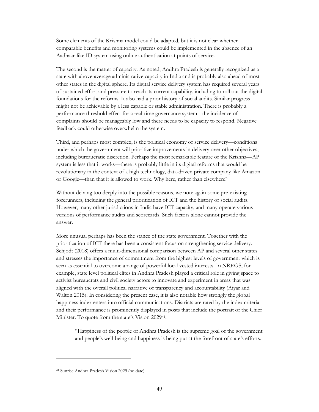Some elements of the Krishna model could be adapted, but it is not clear whether comparable benefits and monitoring systems could be implemented in the absence of an Aadhaar-like ID system using online authentication at points of service.

The second is the matter of capacity. As noted, Andhra Pradesh is generally recognized as a state with above-average administrative capacity in India and is probably also ahead of most other states in the digital sphere. Its digital service delivery system has required several years of sustained effort and pressure to reach its current capability, including to roll out the digital foundations for the reforms. It also had a prior history of social audits. Similar progress might not be achievable by a less capable or stable administration. There is probably a performance threshold effect for a real-time governance system-- the incidence of complaints should be manageably low and there needs to be capacity to respond. Negative feedback could otherwise overwhelm the system.

Third, and perhaps most complex, is the political economy of service delivery—conditions under which the government will prioritize improvements in delivery over other objectives, including bureaucratic discretion. Perhaps the most remarkable feature of the Krishna—AP system is less that it works—there is probably little in its digital reforms that would be revolutionary in the context of a high technology, data-driven private company like Amazon or Google—than that it is allowed to work. Why here, rather than elsewhere?

Without delving too deeply into the possible reasons, we note again some pre-existing forerunners, including the general prioritization of ICT and the history of social audits. However, many other jurisdictions in India have ICT capacity, and many operate various versions of performance audits and scorecards. Such factors alone cannot provide the answer.

More unusual perhaps has been the stance of the state government. Together with the prioritization of ICT there has been a consistent focus on strengthening service delivery. Schjodt (2018) offers a multi-dimensional comparison between AP and several other states and stresses the importance of commitment from the highest levels of government which is seen as essential to overcome a range of powerful local vested interests. In NREGS, for example, state level political elites in Andhra Pradesh played a critical role in giving space to activist bureaucrats and civil society actors to innovate and experiment in areas that was aligned with the overall political narrative of transparency and accountability (Aiyar and Walton 2015). In considering the present case, it is also notable how strongly the global happiness index enters into official communications. Districts are rated by the index criteria and their performance is prominently displayed in posts that include the portrait of the Chief Minister. To quote from the state's Vision 2029[41:](#page-51-0)

"Happiness of the people of Andhra Pradesh is the supreme goal of the government and people's well-being and happiness is being put at the forefront of state's efforts.

<span id="page-51-0"></span><sup>41</sup> Sunrise Andhra Pradesh Vision 2029 (no date)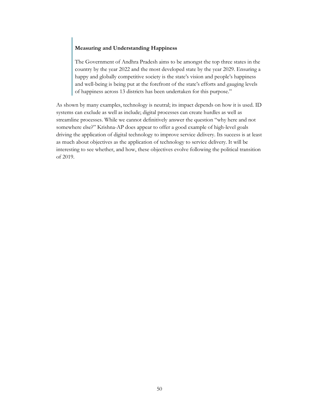#### **Measuring and Understanding Happiness**

The Government of Andhra Pradesh aims to be amongst the top three states in the country by the year 2022 and the most developed state by the year 2029. Ensuring a happy and globally competitive society is the state's vision and people's happiness and well-being is being put at the forefront of the state's efforts and gauging levels of happiness across 13 districts has been undertaken for this purpose."

As shown by many examples, technology is neutral; its impact depends on how it is used. ID systems can exclude as well as include; digital processes can create hurdles as well as streamline processes. While we cannot definitively answer the question "why here and not somewhere else?" Krishna-AP does appear to offer a good example of high-level goals driving the application of digital technology to improve service delivery. Its success is at least as much about objectives as the application of technology to service delivery. It will be interesting to see whether, and how, these objectives evolve following the political transition of 2019.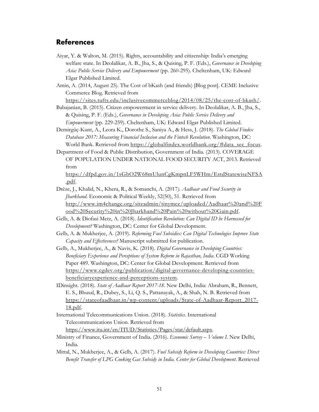## <span id="page-53-0"></span>**References**

- Aiyar, Y. & Walton, M. (2015). Rights, accountability and citizenship: India's emerging welfare state. In Deolalikar, A. B., Jha, S., & Quising, P. F. (Eds.), *Governance in Developing Asia: Public Service Delivery and Empowerment* (pp. 260-295). Cheltenham, UK: Edward Elgar Published Limited.
- Amin, A. (2014, August 25). The Cost of bKash (and friends) [Blog post]. CEME Inclusive Commerce Blog. Retrieved from

[https://sites.tufts.edu/inclusivecommerceblog/2014/08/25/the-cost-of-bkash/.](https://sites.tufts.edu/inclusivecommerceblog/2014/08/25/the-cost-of-bkash/)

- Babajanian, B. (2015). Citizen empowerment in service delivery. In Deolalikar, A. B., Jha, S., & Quising, P. F. (Eds.), *Governance in Developing Asia: Public Service Delivery and Empowerment* (pp. 229-259). Cheltenham, UK: Edward Elgar Published Limited.
- Demirgüç-Kunt, A., Leora K., Dorothe S., Saniya A., & Hess, J. (2018). *The Global Findex Database 2017: Measuring Financial Inclusion and the Fintech Revolution*. Washington, DC: World Bank. Retrieved from [https://globalfindex.worldbank.org/#data\\_sec\\_focus.](https://globalfindex.worldbank.org/#data_sec_focus)
- Department of Food & Public Distribution, Government of India. (2013). COVERAGE OF POPULATION UNDER NATIONAL FOOD SECURITY ACT, 2013. Retrieved from

[https://dfpd.gov.in/1sGbO2W68mUlunCgKmpnLF5WHm/EstdStatewiseNFSA](https://dfpd.gov.in/1sGbO2W68mUlunCgKmpnLF5WHm/EstdStatewiseNFSA.pdf) [.pdf.](https://dfpd.gov.in/1sGbO2W68mUlunCgKmpnLF5WHm/EstdStatewiseNFSA.pdf)

- Drèze, J., Khalid, N., Khera, R., & Somanchi, A. (2017*). Aadhaar and Food Security in Jharkhand*. Economic & Political Weekly, 52(50), 51. Retrieved from [http://www.im4change.org/siteadmin/tinymce/uploaded/Aadhaar%20and%20F](http://www.im4change.org/siteadmin/tinymce/uploaded/Aadhaar%20and%20Food%20Security%20in%20Jharkhand%20Pain%20without%20Gain.pdf) [ood%20Security%20in%20Jharkhand%20Pain%20without%20Gain.pdf.](http://www.im4change.org/siteadmin/tinymce/uploaded/Aadhaar%20and%20Food%20Security%20in%20Jharkhand%20Pain%20without%20Gain.pdf)
- Gelb, A. & Diofasi Metz, A. (2018). *Identification Revolution: Can Digital ID be Harnessed for Development?* Washington, DC: Center for Global Development.
- Gelb, A. & Mukherjee, A. (2019). *Reforming Fuel Subsidies: Can Digital Technologies Improve State Capacity and Effectiveness?* Manuscript submitted for publication.
- Gelb, A., Mukherjee, A., & Navis, K. (2018). *Digital Governance in Developing Countries: Beneficiary Experience and Perceptions of System Reform in Rajasthan, India*. CGD Working Paper 489. Washington, DC: Center for Global Development. Retrieved from [https://www.cgdev.org/publication/digital-governance-developing-countries](https://www.cgdev.org/publication/digital-governance-developing-countries-beneficiaryexperience-and-perceptions-system)[beneficiaryexperience-and-perceptions-system.](https://www.cgdev.org/publication/digital-governance-developing-countries-beneficiaryexperience-and-perceptions-system)
- IDinsight. (2018). *State of Aadhaar Report 2017-18*. New Delhi, India: Abraham, R., Bennett, E. S., Bhusal, R., Dubey, S., Li, Q. S., Pattanayak, A., & Shah, N. B. Retrieved from [https://stateofaadhaar.in/wp-content/uploads/State-of-Aadhaar-Report\\_2017-](https://stateofaadhaar.in/wp-content/uploads/State-of-Aadhaar-Report_2017-18.pdf) [18.pdf.](https://stateofaadhaar.in/wp-content/uploads/State-of-Aadhaar-Report_2017-18.pdf)
- International Telecommunications Union. (2018). *Statistics*. International Telecommunications Union. Retrieved from [https://www.itu.int/en/ITUD/Statistics/Pages/stat/default.aspx.](https://www.itu.int/en/ITUD/Statistics/Pages/stat/default.aspx)
- Ministry of Finance, Government of India. (2016). *Economic Survey – Volume I*. New Delhi, India.
- Mittal, N., Mukherjee, A., & Gelb, A. (2017). *Fuel Subsidy Reform in Developing Countries: Direct Benefit Transfer of LPG Cooking Gas Subsidy in India. Center for Global Development*. Retrieved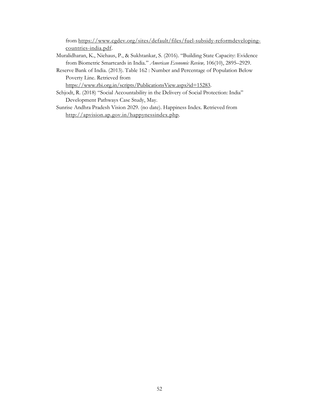from [https://www.cgdev.org/sites/default/files/fuel-subsidy-reformdeveloping](https://www.cgdev.org/sites/default/files/fuel-subsidy-reformdeveloping-countries-india.pdf)[countries-india.pdf.](https://www.cgdev.org/sites/default/files/fuel-subsidy-reformdeveloping-countries-india.pdf)

- Muralidharan, K., Niehaus, P., & Sukhtankar, S. (2016). "Building State Capacity: Evidence from Biometric Smartcards in India." *American Economic Review,* 106(10), 2895–2929.
- Reserve Bank of India. (2013). Table 162 : Number and Percentage of Population Below Poverty Line. Retrieved from

[https://www.rbi.org.in/scripts/PublicationsView.aspx?id=15283.](https://www.rbi.org.in/scripts/PublicationsView.aspx?id=15283)

- Schjodt, R. (2018) "Social Accountability in the Delivery of Social Protection: India" Development Pathways Case Study, May.
- Sunrise Andhra Pradesh Vision 2029. (no date). Happiness Index. Retrieved from [http://apvision.ap.gov.in/happynessindex.php.](http://apvision.ap.gov.in/happynessindex.php)